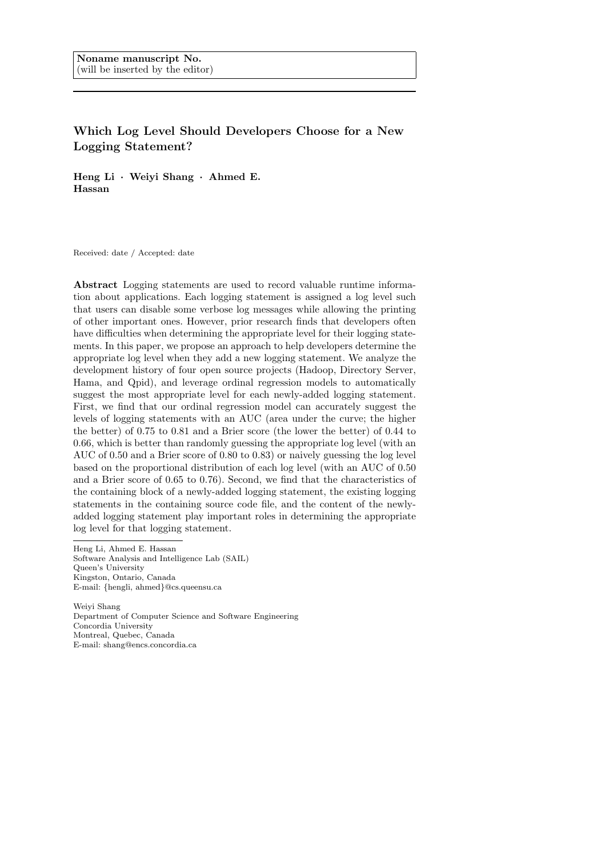# Which Log Level Should Developers Choose for a New Logging Statement?

Heng Li · Weiyi Shang · Ahmed E. Hassan

Received: date / Accepted: date

Abstract Logging statements are used to record valuable runtime information about applications. Each logging statement is assigned a log level such that users can disable some verbose log messages while allowing the printing of other important ones. However, prior research finds that developers often have difficulties when determining the appropriate level for their logging statements. In this paper, we propose an approach to help developers determine the appropriate log level when they add a new logging statement. We analyze the development history of four open source projects (Hadoop, Directory Server, Hama, and Qpid), and leverage ordinal regression models to automatically suggest the most appropriate level for each newly-added logging statement. First, we find that our ordinal regression model can accurately suggest the levels of logging statements with an AUC (area under the curve; the higher the better) of 0.75 to 0.81 and a Brier score (the lower the better) of 0.44 to 0.66, which is better than randomly guessing the appropriate log level (with an AUC of 0.50 and a Brier score of 0.80 to 0.83) or naively guessing the log level based on the proportional distribution of each log level (with an AUC of 0.50 and a Brier score of 0.65 to 0.76). Second, we find that the characteristics of the containing block of a newly-added logging statement, the existing logging statements in the containing source code file, and the content of the newlyadded logging statement play important roles in determining the appropriate log level for that logging statement.

Heng Li, Ahmed E. Hassan Software Analysis and Intelligence Lab (SAIL) Queen's University Kingston, Ontario, Canada E-mail: {hengli, ahmed}@cs.queensu.ca

Weiyi Shang Department of Computer Science and Software Engineering Concordia University Montreal, Quebec, Canada E-mail: shang@encs.concordia.ca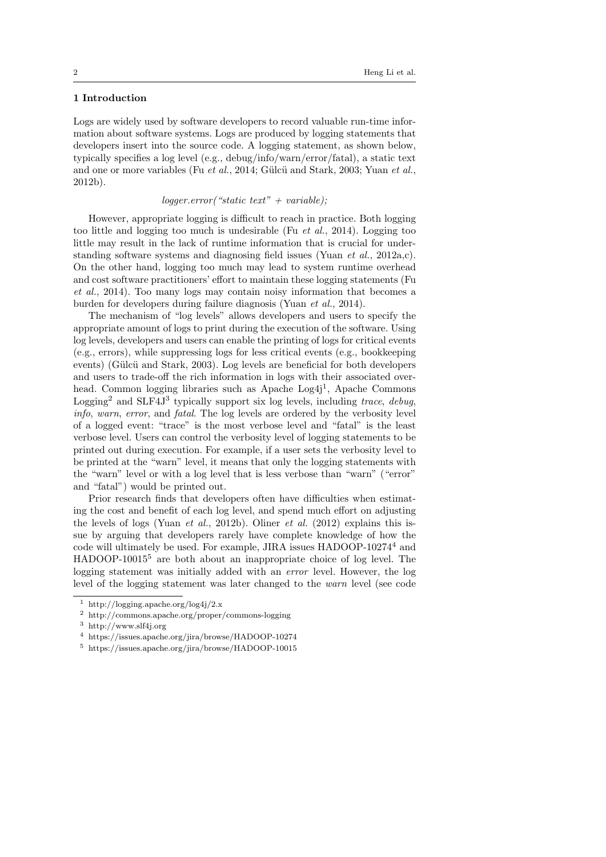## 1 Introduction

Logs are widely used by software developers to record valuable run-time information about software systems. Logs are produced by logging statements that developers insert into the source code. A logging statement, as shown below, typically specifies a log level (e.g., debug/info/warn/error/fatal), a static text and one or more variables (Fu  $et$   $al., 2014$ ; Gülcü and Stark, 2003; Yuan  $et$   $al.,$ 2012b).

# $logger_error('static text" + variable);$

However, appropriate logging is difficult to reach in practice. Both logging too little and logging too much is undesirable (Fu et al., 2014). Logging too little may result in the lack of runtime information that is crucial for understanding software systems and diagnosing field issues (Yuan et al., 2012a,c). On the other hand, logging too much may lead to system runtime overhead and cost software practitioners' effort to maintain these logging statements (Fu et al., 2014). Too many logs may contain noisy information that becomes a burden for developers during failure diagnosis (Yuan et al., 2014).

The mechanism of "log levels" allows developers and users to specify the appropriate amount of logs to print during the execution of the software. Using log levels, developers and users can enable the printing of logs for critical events (e.g., errors), while suppressing logs for less critical events (e.g., bookkeeping events) (Gülcü and Stark, 2003). Log levels are beneficial for both developers and users to trade-off the rich information in logs with their associated overhead. Common logging libraries such as Apache Log4j<sup>1</sup>, Apache Commons Logging<sup>2</sup> and SLF4J<sup>3</sup> typically support six log levels, including trace, debug, info, warn, error, and fatal. The log levels are ordered by the verbosity level of a logged event: "trace" is the most verbose level and "fatal" is the least verbose level. Users can control the verbosity level of logging statements to be printed out during execution. For example, if a user sets the verbosity level to be printed at the "warn" level, it means that only the logging statements with the "warn" level or with a log level that is less verbose than "warn" ("error" and "fatal") would be printed out.

Prior research finds that developers often have difficulties when estimating the cost and benefit of each log level, and spend much effort on adjusting the levels of logs (Yuan *et al.*, 2012b). Oliner *et al.* (2012) explains this issue by arguing that developers rarely have complete knowledge of how the code will ultimately be used. For example, JIRA issues HADOOP-10274<sup>4</sup> and  $HADOOP-10015<sup>5</sup>$  are both about an inappropriate choice of log level. The logging statement was initially added with an error level. However, the log level of the logging statement was later changed to the warn level (see code

<sup>5</sup> https://issues.apache.org/jira/browse/HADOOP-10015

<sup>1</sup> http://logging.apache.org/log4j/2.x

 $^2\,$ http://commons.apache.org/proper/commons-logging

<sup>3</sup> http://www.slf4j.org

<sup>4</sup> https://issues.apache.org/jira/browse/HADOOP-10274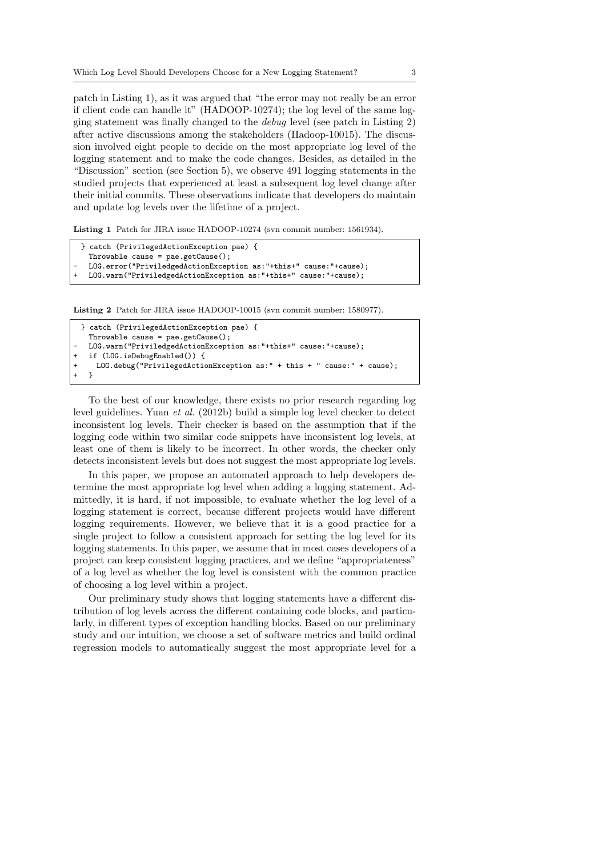patch in Listing 1), as it was argued that "the error may not really be an error if client code can handle it" (HADOOP-10274); the log level of the same logging statement was finally changed to the debug level (see patch in Listing 2) after active discussions among the stakeholders (Hadoop-10015). The discussion involved eight people to decide on the most appropriate log level of the logging statement and to make the code changes. Besides, as detailed in the "Discussion" section (see Section 5), we observe 491 logging statements in the studied projects that experienced at least a subsequent log level change after their initial commits. These observations indicate that developers do maintain and update log levels over the lifetime of a project.

Listing 1 Patch for JIRA issue HADOOP-10274 (svn commit number: 1561934).

```
} catch (PrivilegedActionException pae) {
 Throwable cause = pae.getCause();
- LOG.error("PriviledgedActionException as:"+this+" cause:"+cause);
+ LOG.warn("PriviledgedActionException as:"+this+" cause:"+cause);
```
Listing 2 Patch for JIRA issue HADOOP-10015 (svn commit number: 1580977).

```
} catch (PrivilegedActionException pae) {
 Throwable cause = pae.getCause();
- LOG.warn("PriviledgedActionException as:"+this+" cause:"+cause);
 if (LOG.isDebugEnabled()) {
  LOG.debug("PrivilegedActionException as:" + this + " cause:" + cause);
\rightarrow
```
To the best of our knowledge, there exists no prior research regarding log level guidelines. Yuan et al. (2012b) build a simple log level checker to detect inconsistent log levels. Their checker is based on the assumption that if the logging code within two similar code snippets have inconsistent log levels, at least one of them is likely to be incorrect. In other words, the checker only detects inconsistent levels but does not suggest the most appropriate log levels.

In this paper, we propose an automated approach to help developers determine the most appropriate log level when adding a logging statement. Admittedly, it is hard, if not impossible, to evaluate whether the log level of a logging statement is correct, because different projects would have different logging requirements. However, we believe that it is a good practice for a single project to follow a consistent approach for setting the log level for its logging statements. In this paper, we assume that in most cases developers of a project can keep consistent logging practices, and we define "appropriateness" of a log level as whether the log level is consistent with the common practice of choosing a log level within a project.

Our preliminary study shows that logging statements have a different distribution of log levels across the different containing code blocks, and particularly, in different types of exception handling blocks. Based on our preliminary study and our intuition, we choose a set of software metrics and build ordinal regression models to automatically suggest the most appropriate level for a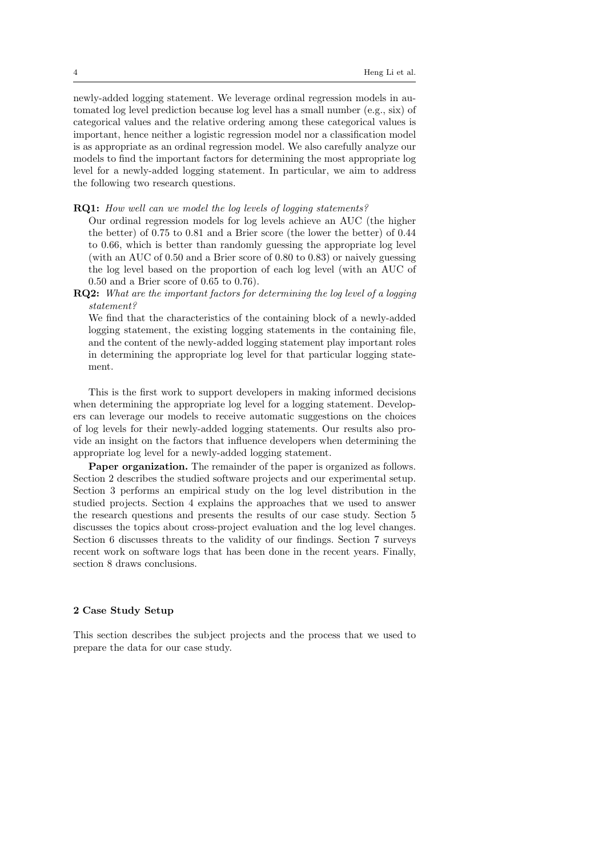newly-added logging statement. We leverage ordinal regression models in automated log level prediction because log level has a small number (e.g., six) of categorical values and the relative ordering among these categorical values is important, hence neither a logistic regression model nor a classification model is as appropriate as an ordinal regression model. We also carefully analyze our models to find the important factors for determining the most appropriate log level for a newly-added logging statement. In particular, we aim to address the following two research questions.

RQ1: How well can we model the log levels of logging statements?

Our ordinal regression models for log levels achieve an AUC (the higher the better) of 0.75 to 0.81 and a Brier score (the lower the better) of 0.44 to 0.66, which is better than randomly guessing the appropriate log level (with an AUC of 0.50 and a Brier score of 0.80 to 0.83) or naively guessing the log level based on the proportion of each log level (with an AUC of 0.50 and a Brier score of 0.65 to 0.76).

RQ2: What are the important factors for determining the log level of a logging statement?

We find that the characteristics of the containing block of a newly-added logging statement, the existing logging statements in the containing file, and the content of the newly-added logging statement play important roles in determining the appropriate log level for that particular logging statement.

This is the first work to support developers in making informed decisions when determining the appropriate log level for a logging statement. Developers can leverage our models to receive automatic suggestions on the choices of log levels for their newly-added logging statements. Our results also provide an insight on the factors that influence developers when determining the appropriate log level for a newly-added logging statement.

Paper organization. The remainder of the paper is organized as follows. Section 2 describes the studied software projects and our experimental setup. Section 3 performs an empirical study on the log level distribution in the studied projects. Section 4 explains the approaches that we used to answer the research questions and presents the results of our case study. Section 5 discusses the topics about cross-project evaluation and the log level changes. Section 6 discusses threats to the validity of our findings. Section 7 surveys recent work on software logs that has been done in the recent years. Finally, section 8 draws conclusions.

## 2 Case Study Setup

This section describes the subject projects and the process that we used to prepare the data for our case study.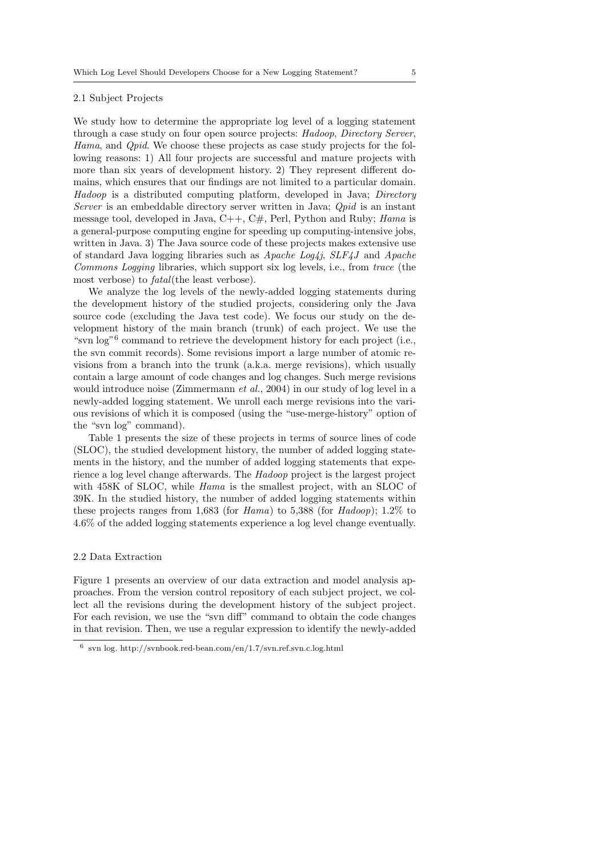### 2.1 Subject Projects

We study how to determine the appropriate log level of a logging statement through a case study on four open source projects: Hadoop, Directory Server, Hama, and *Qpid*. We choose these projects as case study projects for the following reasons: 1) All four projects are successful and mature projects with more than six years of development history. 2) They represent different domains, which ensures that our findings are not limited to a particular domain. Hadoop is a distributed computing platform, developed in Java; Directory Server is an embeddable directory server written in Java; *Qpid* is an instant message tool, developed in Java,  $C_{++}$ ,  $C_{\#}$ , Perl, Python and Ruby; *Hama* is a general-purpose computing engine for speeding up computing-intensive jobs, written in Java. 3) The Java source code of these projects makes extensive use of standard Java logging libraries such as Apache Log4j, SLF4J and Apache Commons Logging libraries, which support six log levels, i.e., from trace (the most verbose) to fatal(the least verbose).

We analyze the log levels of the newly-added logging statements during the development history of the studied projects, considering only the Java source code (excluding the Java test code). We focus our study on the development history of the main branch (trunk) of each project. We use the "svn log"<sup>6</sup> command to retrieve the development history for each project (i.e., the svn commit records). Some revisions import a large number of atomic revisions from a branch into the trunk (a.k.a. merge revisions), which usually contain a large amount of code changes and log changes. Such merge revisions would introduce noise (Zimmermann et al., 2004) in our study of log level in a newly-added logging statement. We unroll each merge revisions into the various revisions of which it is composed (using the "use-merge-history" option of the "svn log" command).

Table 1 presents the size of these projects in terms of source lines of code (SLOC), the studied development history, the number of added logging statements in the history, and the number of added logging statements that experience a log level change afterwards. The Hadoop project is the largest project with 458K of SLOC, while *Hama* is the smallest project, with an SLOC of 39K. In the studied history, the number of added logging statements within these projects ranges from 1,683 (for Hama) to 5,388 (for Hadoop); 1.2% to 4.6% of the added logging statements experience a log level change eventually.

#### 2.2 Data Extraction

Figure 1 presents an overview of our data extraction and model analysis approaches. From the version control repository of each subject project, we collect all the revisions during the development history of the subject project. For each revision, we use the "svn diff" command to obtain the code changes in that revision. Then, we use a regular expression to identify the newly-added

<sup>6</sup> svn log. http://svnbook.red-bean.com/en/1.7/svn.ref.svn.c.log.html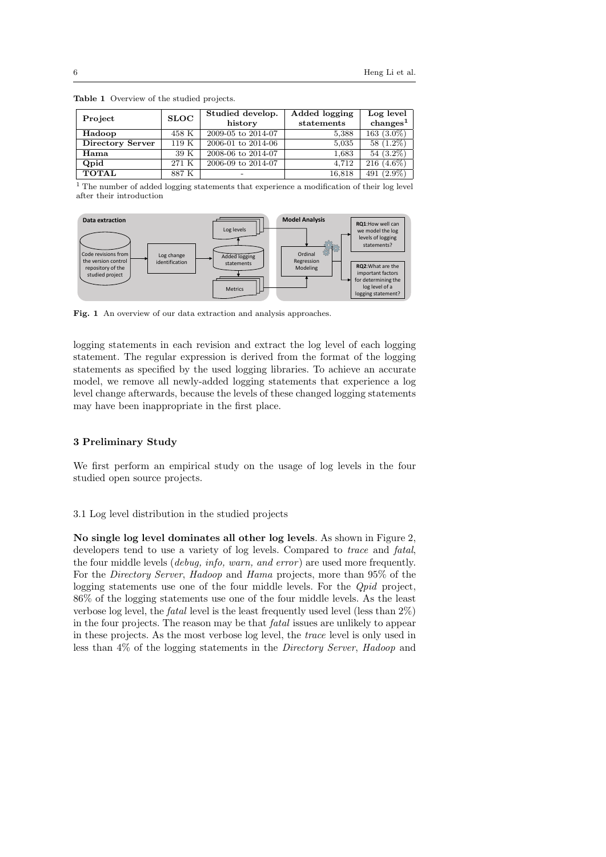| Project          | <b>SLOC</b> | Studied develop.<br>history | Added logging<br>statements | Log level<br>$\text{changes}^1$ |
|------------------|-------------|-----------------------------|-----------------------------|---------------------------------|
| Hadoop           | 458 K       | 2009-05 to 2014-07          | 5,388                       | $163(3.0\%)$                    |
| Directory Server | 119K        | 2006-01 to 2014-06          | 5,035                       | 58 $(1.2\%)$                    |
| Hama             | 39 K        | 2008-06 to 2014-07          | 1,683                       | $54(3.2\%)$                     |
| Qpid             | 271 K       | 2006-09 to 2014-07          | 4.712                       | $216(4.6\%)$                    |
| <b>TOTAL</b>     | 887 K       |                             | 16,818                      | 491 (2.9%)                      |

Table 1 Overview of the studied projects.

 $^{\rm 1}$  The number of added logging statements that experience a modification of their log level after their introduction



Fig. 1 An overview of our data extraction and analysis approaches.

logging statements in each revision and extract the log level of each logging statement. The regular expression is derived from the format of the logging statements as specified by the used logging libraries. To achieve an accurate model, we remove all newly-added logging statements that experience a log level change afterwards, because the levels of these changed logging statements may have been inappropriate in the first place.

#### 3 Preliminary Study

We first perform an empirical study on the usage of log levels in the four studied open source projects.

#### 3.1 Log level distribution in the studied projects

No single log level dominates all other log levels. As shown in Figure 2, developers tend to use a variety of log levels. Compared to *trace* and *fatal*, the four middle levels (*debug, info, warn, and error*) are used more frequently. For the Directory Server, Hadoop and Hama projects, more than 95% of the logging statements use one of the four middle levels. For the *Qpid* project, 86% of the logging statements use one of the four middle levels. As the least verbose log level, the *fatal* level is the least frequently used level (less than  $2\%$ ) in the four projects. The reason may be that fatal issues are unlikely to appear in these projects. As the most verbose log level, the trace level is only used in less than 4% of the logging statements in the Directory Server, Hadoop and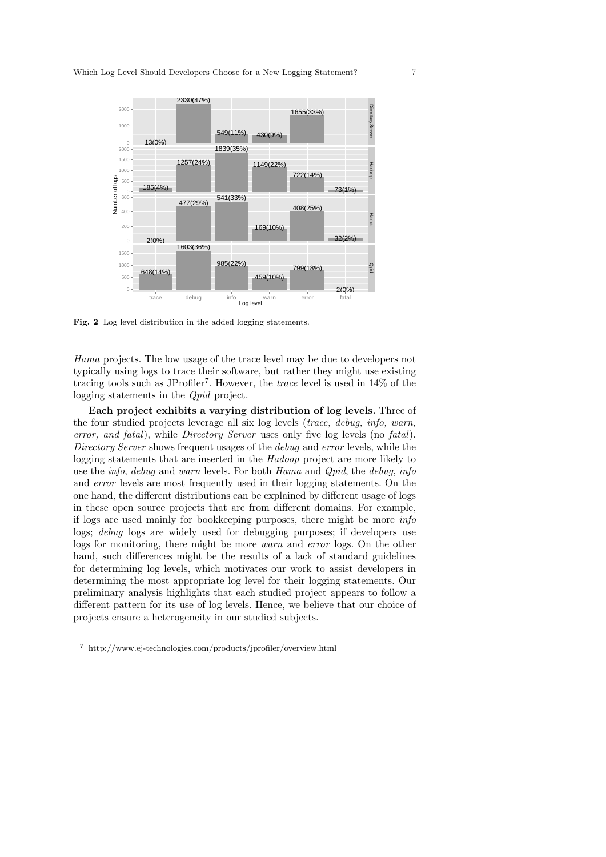

Fig. 2 Log level distribution in the added logging statements.

Hama projects. The low usage of the trace level may be due to developers not typically using logs to trace their software, but rather they might use existing tracing tools such as JProfiler<sup>7</sup>. However, the *trace* level is used in 14% of the logging statements in the Qpid project.

Each project exhibits a varying distribution of log levels. Three of the four studied projects leverage all six log levels (trace, debug, info, warn, error, and fatal), while Directory Server uses only five log levels (no fatal). Directory Server shows frequent usages of the *debug* and error levels, while the logging statements that are inserted in the Hadoop project are more likely to use the *info*, *debug* and *warn* levels. For both *Hama* and *Qpid*, the *debug*, *info* and error levels are most frequently used in their logging statements. On the one hand, the different distributions can be explained by different usage of logs in these open source projects that are from different domains. For example, if logs are used mainly for bookkeeping purposes, there might be more info logs; debug logs are widely used for debugging purposes; if developers use logs for monitoring, there might be more warn and error logs. On the other hand, such differences might be the results of a lack of standard guidelines for determining log levels, which motivates our work to assist developers in determining the most appropriate log level for their logging statements. Our preliminary analysis highlights that each studied project appears to follow a different pattern for its use of log levels. Hence, we believe that our choice of projects ensure a heterogeneity in our studied subjects.

<sup>7</sup> http://www.ej-technologies.com/products/jprofiler/overview.html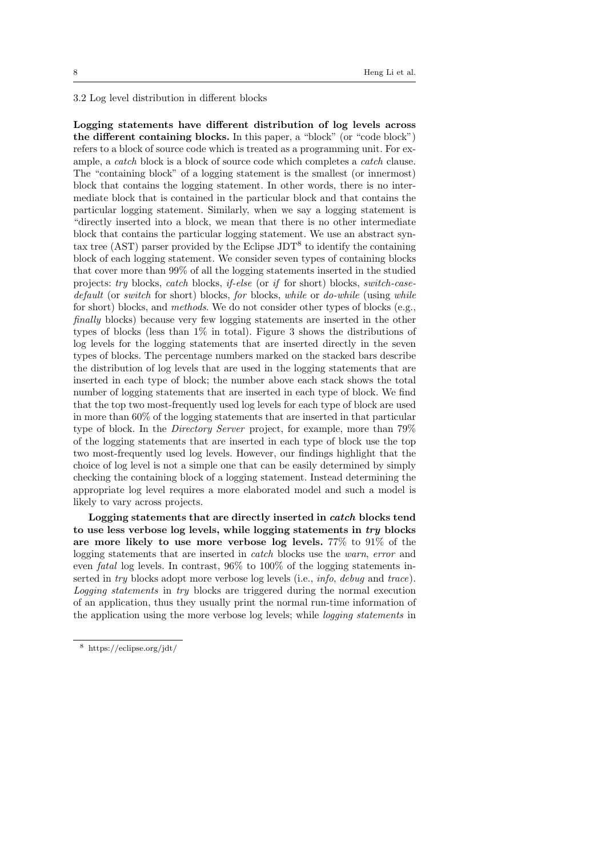3.2 Log level distribution in different blocks

Logging statements have different distribution of log levels across the different containing blocks. In this paper, a "block" (or "code block") refers to a block of source code which is treated as a programming unit. For example, a catch block is a block of source code which completes a catch clause. The "containing block" of a logging statement is the smallest (or innermost) block that contains the logging statement. In other words, there is no intermediate block that is contained in the particular block and that contains the particular logging statement. Similarly, when we say a logging statement is "directly inserted into a block, we mean that there is no other intermediate block that contains the particular logging statement. We use an abstract syntax tree (AST) parser provided by the Eclipse  $JDT^8$  to identify the containing block of each logging statement. We consider seven types of containing blocks that cover more than 99% of all the logging statements inserted in the studied projects: try blocks, catch blocks, if-else (or if for short) blocks, switch-casedefault (or switch for short) blocks, for blocks, while or do-while (using while for short) blocks, and methods. We do not consider other types of blocks (e.g., finally blocks) because very few logging statements are inserted in the other types of blocks (less than 1% in total). Figure 3 shows the distributions of log levels for the logging statements that are inserted directly in the seven types of blocks. The percentage numbers marked on the stacked bars describe the distribution of log levels that are used in the logging statements that are inserted in each type of block; the number above each stack shows the total number of logging statements that are inserted in each type of block. We find that the top two most-frequently used log levels for each type of block are used in more than 60% of the logging statements that are inserted in that particular type of block. In the Directory Server project, for example, more than 79% of the logging statements that are inserted in each type of block use the top two most-frequently used log levels. However, our findings highlight that the choice of log level is not a simple one that can be easily determined by simply checking the containing block of a logging statement. Instead determining the appropriate log level requires a more elaborated model and such a model is likely to vary across projects.

Logging statements that are directly inserted in catch blocks tend to use less verbose log levels, while logging statements in try blocks are more likely to use more verbose log levels. 77% to 91% of the logging statements that are inserted in catch blocks use the warn, error and even fatal log levels. In contrast, 96% to 100% of the logging statements inserted in try blocks adopt more verbose log levels (i.e., *info*, *debug* and trace). Logging statements in try blocks are triggered during the normal execution of an application, thus they usually print the normal run-time information of the application using the more verbose log levels; while logging statements in

<sup>8</sup> https://eclipse.org/jdt/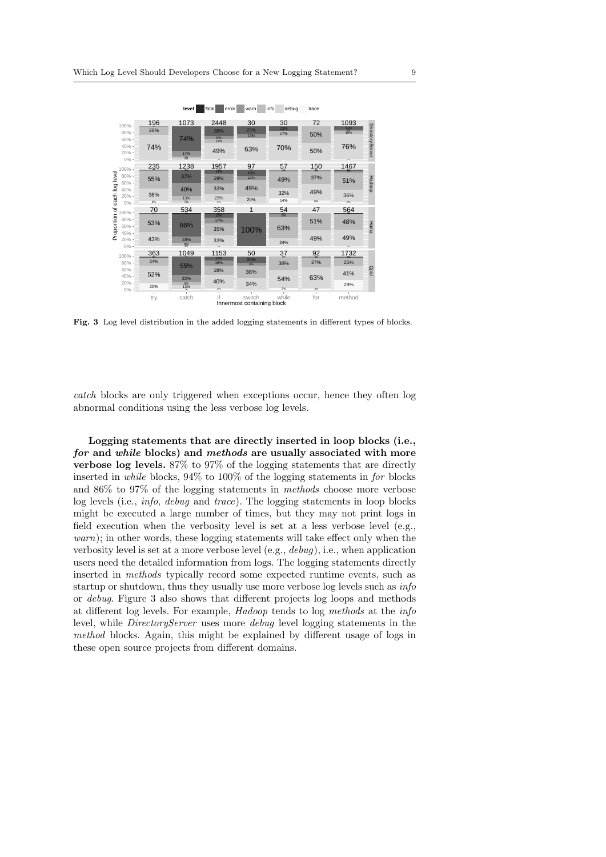|                |                     |           | level     | fatal<br>error     | warn                                 | info<br>debug | trace |            |                        |
|----------------|---------------------|-----------|-----------|--------------------|--------------------------------------|---------------|-------|------------|------------------------|
|                | $100% -$            | 196       | 1073      | 2448               | 30                                   | 30            | 72    | 1093       |                        |
|                | $80% -$             | 26%       |           | 30%                | 23%<br>13%                           | 13%<br>17%    | 50%   | 11%<br>10% | <b>DirectoryServer</b> |
|                | $60% -$<br>$40% -$  |           | 74%       | $\frac{9\%}{12\%}$ |                                      |               |       |            |                        |
|                | $20% -$             | 74%       | 17%       | 49%                | 63%                                  | 70%           | 50%   | 76%        |                        |
|                | $0\% -$             |           | $45 -$    |                    |                                      |               |       |            |                        |
|                | $100% -$            | 235       | 1238      | 1957<br>11%        | 97<br>18%                            | 57            | 150   | 1467       |                        |
|                | $80%$ -<br>$60\% -$ | 55%       | 37%       | 29%                | 12%                                  | 49%           | 37%   | 51%        |                        |
|                | $40% -$             |           | 40%       | 33%                | 49%                                  |               | 49%   |            | Hadoop                 |
| each log level | $20% -$             | 38%<br>6% | 13%       | 22%<br>4%          | 20%                                  | 32%<br>14%    | 8%    | 36%<br>5%  |                        |
|                | $0\% -$             | 70        | 534       | 358                | 1                                    | 54            | 47    | 564        |                        |
|                | $100% -$<br>$80% -$ |           |           | 1255<br>17%        |                                      | 9%            |       |            |                        |
| Proportion of  | $60\% -$            | 53%       | 66%       | 35%                | 100%                                 | 63%           | 51%   | 48%        | Hama                   |
|                | $40% -$<br>$20% -$  | 43%       | 18%       |                    |                                      |               | 49%   | 49%        |                        |
|                | $0\% -$             |           | 9%        | 33%                |                                      | 24%           |       |            |                        |
|                | $100% -$            | 363       | 1049      | 1153<br>12%        | 50                                   | 37            | 92    | 1732       |                        |
|                | $80% -$             | 24%       | 55%       | 16%                | 20%<br>R%                            | 38%           | 27%   | 25%        |                        |
|                | $60\% -$<br>$40% -$ | 52%       |           | 28%                | 38%                                  |               |       | 41%        | piq                    |
|                | $20% -$             | 20%       | 22%<br>8% | 40%                | 34%                                  | 54%           | 63%   | 29%        |                        |
|                | $0\% -$             |           | 13%       | 4%                 |                                      | 5%            | $4\%$ |            |                        |
|                |                     | try       | catch     | if                 | switch<br>Innermost containing block | while         | for   | method     |                        |

Fig. 3 Log level distribution in the added logging statements in different types of blocks.

catch blocks are only triggered when exceptions occur, hence they often log abnormal conditions using the less verbose log levels.

Logging statements that are directly inserted in loop blocks (i.e., for and while blocks) and methods are usually associated with more verbose log levels. 87% to 97% of the logging statements that are directly inserted in while blocks, 94% to 100% of the logging statements in for blocks and 86% to 97% of the logging statements in methods choose more verbose log levels (i.e., info, debug and trace). The logging statements in loop blocks might be executed a large number of times, but they may not print logs in field execution when the verbosity level is set at a less verbose level (e.g., warn); in other words, these logging statements will take effect only when the verbosity level is set at a more verbose level (e.g., debug), i.e., when application users need the detailed information from logs. The logging statements directly inserted in methods typically record some expected runtime events, such as startup or shutdown, thus they usually use more verbose log levels such as info or debug. Figure 3 also shows that different projects log loops and methods at different log levels. For example, Hadoop tends to log methods at the info level, while DirectoryServer uses more debug level logging statements in the method blocks. Again, this might be explained by different usage of logs in these open source projects from different domains.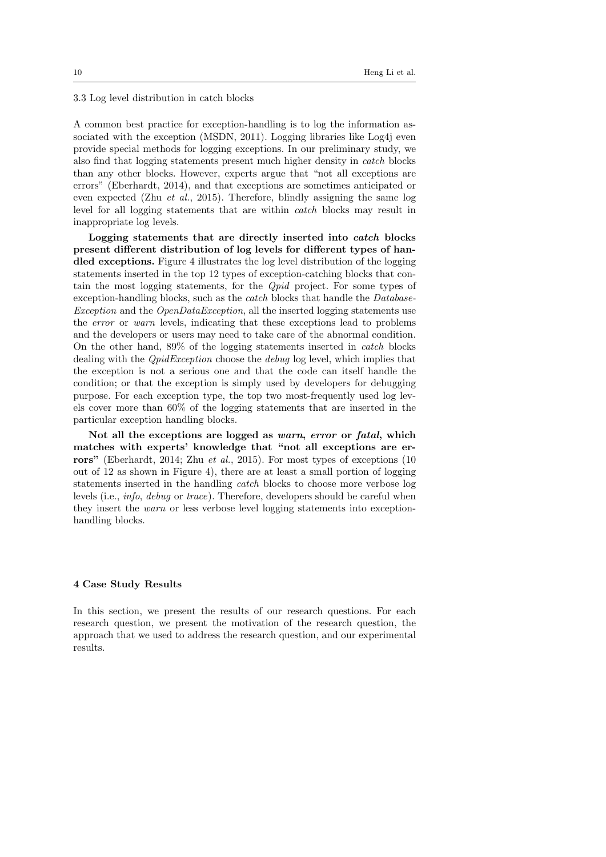3.3 Log level distribution in catch blocks

A common best practice for exception-handling is to log the information associated with the exception (MSDN, 2011). Logging libraries like Log4j even provide special methods for logging exceptions. In our preliminary study, we also find that logging statements present much higher density in catch blocks than any other blocks. However, experts argue that "not all exceptions are errors" (Eberhardt, 2014), and that exceptions are sometimes anticipated or even expected (Zhu et al., 2015). Therefore, blindly assigning the same log level for all logging statements that are within catch blocks may result in inappropriate log levels.

Logging statements that are directly inserted into catch blocks present different distribution of log levels for different types of handled exceptions. Figure 4 illustrates the log level distribution of the logging statements inserted in the top 12 types of exception-catching blocks that contain the most logging statements, for the Qpid project. For some types of exception-handling blocks, such as the *catch* blocks that handle the *Database*-Exception and the OpenDataException, all the inserted logging statements use the error or warn levels, indicating that these exceptions lead to problems and the developers or users may need to take care of the abnormal condition. On the other hand, 89% of the logging statements inserted in catch blocks dealing with the QpidException choose the debug log level, which implies that the exception is not a serious one and that the code can itself handle the condition; or that the exception is simply used by developers for debugging purpose. For each exception type, the top two most-frequently used log levels cover more than 60% of the logging statements that are inserted in the particular exception handling blocks.

Not all the exceptions are logged as warn, error or fatal, which matches with experts' knowledge that "not all exceptions are errors" (Eberhardt, 2014; Zhu et al., 2015). For most types of exceptions (10 out of 12 as shown in Figure 4), there are at least a small portion of logging statements inserted in the handling catch blocks to choose more verbose log levels (i.e., info, debug or trace). Therefore, developers should be careful when they insert the warn or less verbose level logging statements into exceptionhandling blocks.

## 4 Case Study Results

In this section, we present the results of our research questions. For each research question, we present the motivation of the research question, the approach that we used to address the research question, and our experimental results.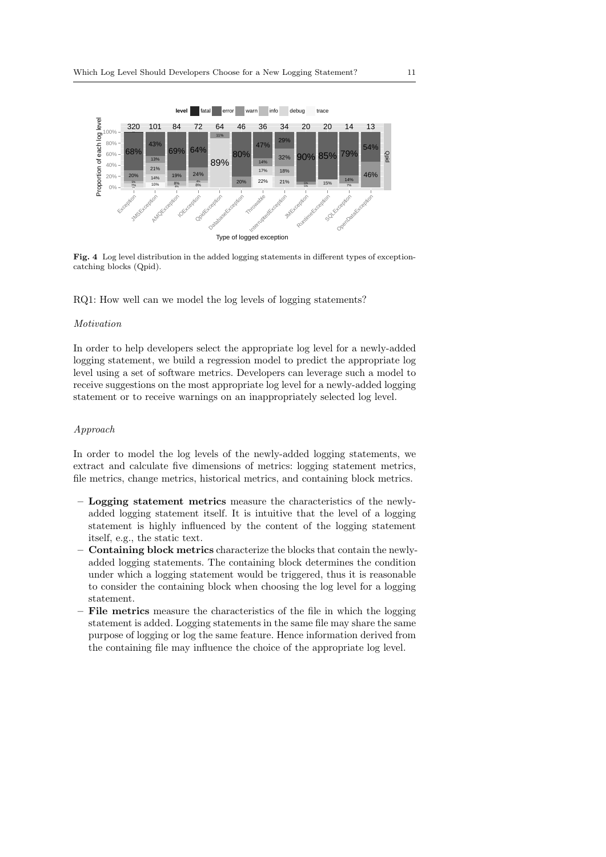

Fig. 4 Log level distribution in the added logging statements in different types of exceptioncatching blocks (Qpid).

RQ1: How well can we model the log levels of logging statements?

#### Motivation

In order to help developers select the appropriate log level for a newly-added logging statement, we build a regression model to predict the appropriate log level using a set of software metrics. Developers can leverage such a model to receive suggestions on the most appropriate log level for a newly-added logging statement or to receive warnings on an inappropriately selected log level.

## Approach

In order to model the log levels of the newly-added logging statements, we extract and calculate five dimensions of metrics: logging statement metrics, file metrics, change metrics, historical metrics, and containing block metrics.

- Logging statement metrics measure the characteristics of the newlyadded logging statement itself. It is intuitive that the level of a logging statement is highly influenced by the content of the logging statement itself, e.g., the static text.
- Containing block metrics characterize the blocks that contain the newlyadded logging statements. The containing block determines the condition under which a logging statement would be triggered, thus it is reasonable to consider the containing block when choosing the log level for a logging statement.
- File metrics measure the characteristics of the file in which the logging statement is added. Logging statements in the same file may share the same purpose of logging or log the same feature. Hence information derived from the containing file may influence the choice of the appropriate log level.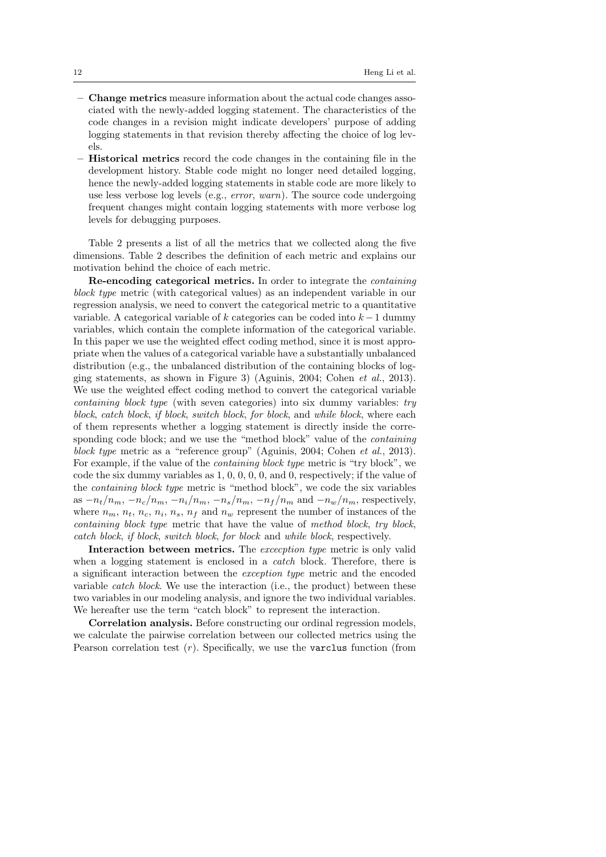- Change metrics measure information about the actual code changes associated with the newly-added logging statement. The characteristics of the code changes in a revision might indicate developers' purpose of adding logging statements in that revision thereby affecting the choice of log levels.
- Historical metrics record the code changes in the containing file in the development history. Stable code might no longer need detailed logging, hence the newly-added logging statements in stable code are more likely to use less verbose log levels (e.g., error, warn). The source code undergoing frequent changes might contain logging statements with more verbose log levels for debugging purposes.

Table 2 presents a list of all the metrics that we collected along the five dimensions. Table 2 describes the definition of each metric and explains our motivation behind the choice of each metric.

Re-encoding categorical metrics. In order to integrate the containing block type metric (with categorical values) as an independent variable in our regression analysis, we need to convert the categorical metric to a quantitative variable. A categorical variable of k categories can be coded into  $k - 1$  dummy variables, which contain the complete information of the categorical variable. In this paper we use the weighted effect coding method, since it is most appropriate when the values of a categorical variable have a substantially unbalanced distribution (e.g., the unbalanced distribution of the containing blocks of logging statements, as shown in Figure 3) (Aguinis, 2004; Cohen et al., 2013). We use the weighted effect coding method to convert the categorical variable containing block type (with seven categories) into six dummy variables: try block, catch block, if block, switch block, for block, and while block, where each of them represents whether a logging statement is directly inside the corresponding code block; and we use the "method block" value of the *containing* block type metric as a "reference group" (Aguinis, 2004; Cohen et al., 2013). For example, if the value of the containing block type metric is "try block", we code the six dummy variables as 1, 0, 0, 0, 0, and 0, respectively; if the value of the containing block type metric is "method block", we code the six variables as  $-n_t/n_m$ ,  $-n_c/n_m$ ,  $-n_i/n_m$ ,  $-n_s/n_m$ ,  $-n_f/n_m$  and  $-n_w/n_m$ , respectively, where  $n_m$ ,  $n_t$ ,  $n_c$ ,  $n_i$ ,  $n_s$ ,  $n_f$  and  $n_w$  represent the number of instances of the containing block type metric that have the value of method block, try block, catch block, if block, switch block, for block and while block, respectively.

Interaction between metrics. The excecption type metric is only valid when a logging statement is enclosed in a *catch* block. Therefore, there is a significant interaction between the exception type metric and the encoded variable catch block. We use the interaction (i.e., the product) between these two variables in our modeling analysis, and ignore the two individual variables. We hereafter use the term "catch block" to represent the interaction.

Correlation analysis. Before constructing our ordinal regression models, we calculate the pairwise correlation between our collected metrics using the Pearson correlation test  $(r)$ . Specifically, we use the varclus function (from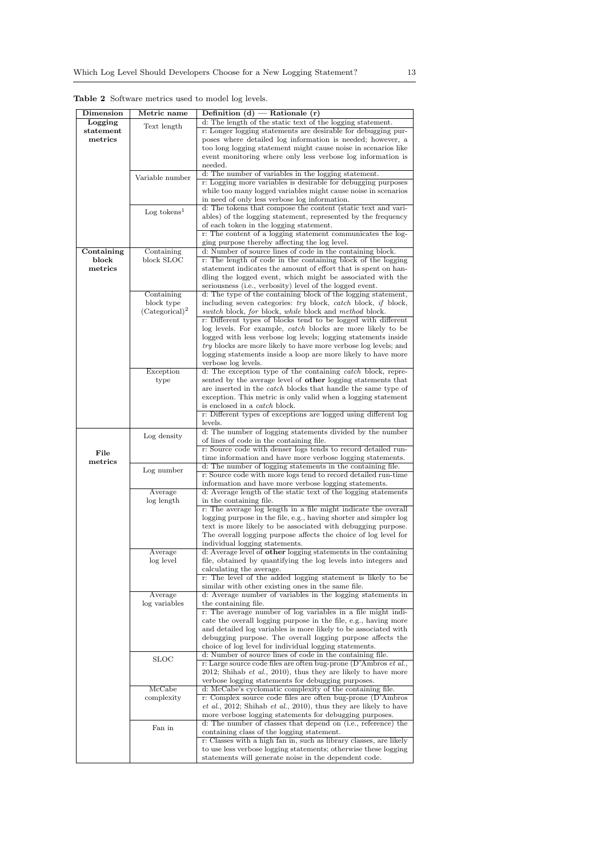| Dimension  | Metric name             | Definition $(d)$ – Rationale $(r)$                                                                                               |
|------------|-------------------------|----------------------------------------------------------------------------------------------------------------------------------|
| Logging    | Text length             | d: The length of the static text of the logging statement.                                                                       |
| statement  |                         | r: Longer logging statements are desirable for debugging pur-                                                                    |
| metrics    |                         | poses where detailed log information is needed; however, a                                                                       |
|            |                         | too long logging statement might cause noise in scenarios like                                                                   |
|            |                         | event monitoring where only less verbose log information is                                                                      |
|            |                         | needed.                                                                                                                          |
|            |                         | d: The number of variables in the logging statement.                                                                             |
|            | Variable number         | r: Logging more variables is desirable for debugging purposes                                                                    |
|            |                         | while too many logged variables might cause noise in scenarios                                                                   |
|            |                         | in need of only less verbose log information.                                                                                    |
|            |                         | d: The tokens that compose the content (static text and vari-                                                                    |
|            | Log tokens <sup>1</sup> | ables) of the logging statement, represented by the frequency                                                                    |
|            |                         | of each token in the logging statement.                                                                                          |
|            |                         | r: The content of a logging statement communicates the log-                                                                      |
|            |                         | ging purpose thereby affecting the log level.                                                                                    |
| Containing | Containing              | d: Number of source lines of code in the containing block.                                                                       |
| block      | block SLOC              | r: The length of code in the containing block of the logging                                                                     |
| metrics    |                         | statement indicates the amount of effort that is spent on han-                                                                   |
|            |                         | dling the logged event, which might be associated with the                                                                       |
|            |                         | seriousness (i.e., verbosity) level of the logged event.                                                                         |
|            | Containing              | d: The type of the containing block of the logging statement,                                                                    |
|            | block type              | including seven categories: try block, catch block, if block,                                                                    |
|            | $(Categorical)^2$       | switch block, for block, while block and method block.                                                                           |
|            |                         |                                                                                                                                  |
|            |                         | r: Different types of blocks tend to be logged with different                                                                    |
|            |                         | log levels. For example, <i>catch</i> blocks are more likely to be                                                               |
|            |                         | logged with less verbose log levels; logging statements inside                                                                   |
|            |                         | try blocks are more likely to have more verbose log levels; and<br>logging statements inside a loop are more likely to have more |
|            |                         | verbose log levels.                                                                                                              |
|            | Exception               | d: The exception type of the containing <i>catch</i> block, repre-                                                               |
|            | type                    | sented by the average level of <b>other</b> logging statements that                                                              |
|            |                         | are inserted in the <i>catch</i> blocks that handle the same type of                                                             |
|            |                         | exception. This metric is only valid when a logging statement                                                                    |
|            |                         | is enclosed in a <i>catch</i> block.                                                                                             |
|            |                         | r: Different types of exceptions are logged using different log                                                                  |
|            |                         | levels.                                                                                                                          |
|            |                         | d: The number of logging statements divided by the number                                                                        |
|            | Log density             | of lines of code in the containing file.                                                                                         |
|            |                         | r: Source code with denser logs tends to record detailed run-                                                                    |
| File       |                         | time information and have more verbose logging statements.                                                                       |
| metrics    |                         | d: The number of logging statements in the containing file.                                                                      |
|            | Log number              | r: Source code with more logs tend to record detailed run-time                                                                   |
|            |                         | information and have more verbose logging statements.                                                                            |
|            | Average                 | d: Average length of the static text of the logging statements                                                                   |
|            | log length              | in the containing file.                                                                                                          |
|            |                         | r: The average log length in a file might indicate the overall                                                                   |
|            |                         | logging purpose in the file, e.g., having shorter and simpler log                                                                |
|            |                         | text is more likely to be associated with debugging purpose.                                                                     |
|            |                         | The overall logging purpose affects the choice of log level for                                                                  |
|            |                         | individual logging statements.                                                                                                   |
|            | Average                 | d: Average level of other logging statements in the containing                                                                   |
|            | $\log$ level            | file, obtained by quantifying the log levels into integers and                                                                   |
|            |                         | calculating the average.                                                                                                         |
|            |                         | r: The level of the added logging statement is likely to be                                                                      |
|            |                         | similar with other existing ones in the same file.                                                                               |
|            | Average                 | d: Average number of variables in the logging statements in                                                                      |
|            | log variables           | the containing file.                                                                                                             |
|            |                         | r: The average number of log variables in a file might indi-                                                                     |
|            |                         | cate the overall logging purpose in the file, e.g., having more                                                                  |
|            |                         | and detailed log variables is more likely to be associated with                                                                  |
|            |                         | debugging purpose. The overall logging purpose affects the                                                                       |
|            |                         | choice of log level for individual logging statements.                                                                           |
|            | <b>SLOC</b>             | d: Number of source lines of code in the containing file.                                                                        |
|            |                         | r: Large source code files are often bug-prone (D'Ambros et al.,                                                                 |
|            |                         | $2012$ ; Shihab <i>et al.</i> , $2010$ ), thus they are likely to have more                                                      |
|            | McCabe                  | verbose logging statements for debugging purposes.<br>d: McCabe's cyclomatic complexity of the containing file.                  |
|            | complexity              | r: Complex source code files are often bug-prone (D'Ambros                                                                       |
|            |                         | $et al., 2012$ ; Shihab $et al., 2010$ ), thus they are likely to have                                                           |
|            |                         | more verbose logging statements for debugging purposes.                                                                          |
|            |                         | d: The number of classes that depend on (i.e., reference) the                                                                    |
|            | Fan in                  | containing class of the logging statement.                                                                                       |
|            |                         | r: Classes with a high fan in, such as library classes, are likely                                                               |
|            |                         | to use less verbose logging statements; otherwise these logging                                                                  |
|            |                         | statements will generate noise in the dependent code.                                                                            |

Table 2 Software metrics used to model log levels.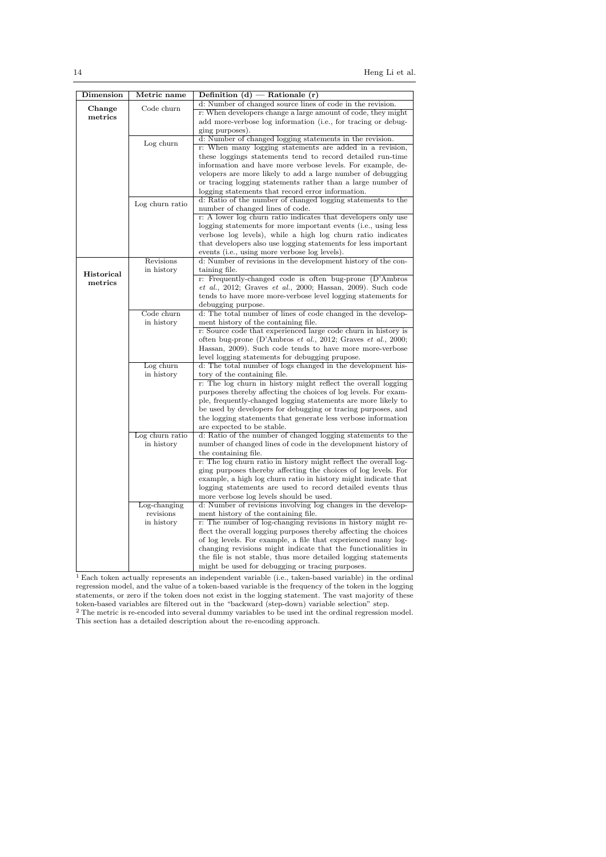| Dimension  | Metric name     | Definition $(d)$ – Rationale $(r)$                                                                                               |
|------------|-----------------|----------------------------------------------------------------------------------------------------------------------------------|
| Change     | Code churn      | d: Number of changed source lines of code in the revision.                                                                       |
| metrics    |                 | r: When developers change a large amount of code, they might                                                                     |
|            |                 | add more-verbose log information (i.e., for tracing or debug-                                                                    |
|            |                 | ging purposes).                                                                                                                  |
|            | Log churn       | d: Number of changed logging statements in the revision.                                                                         |
|            |                 | r: When many logging statements are added in a revision,                                                                         |
|            |                 | these loggings statements tend to record detailed run-time                                                                       |
|            |                 | information and have more verbose levels. For example, de-                                                                       |
|            |                 | velopers are more likely to add a large number of debugging                                                                      |
|            |                 | or tracing logging statements rather than a large number of                                                                      |
|            |                 | logging statements that record error information.                                                                                |
|            | Log churn ratio | d: Ratio of the number of changed logging statements to the                                                                      |
|            |                 | number of changed lines of code.                                                                                                 |
|            |                 | r: A lower log churn ratio indicates that developers only use                                                                    |
|            |                 | logging statements for more important events (i.e., using less                                                                   |
|            |                 | verbose log levels), while a high log churn ratio indicates                                                                      |
|            |                 | that developers also use logging statements for less important                                                                   |
|            |                 | events (i.e., using more verbose log levels).                                                                                    |
|            | Revisions       | d: Number of revisions in the development history of the con-                                                                    |
| Historical | in history      | taining file.                                                                                                                    |
| metrics    |                 | r: Frequently-changed code is often bug-prone (D'Ambros                                                                          |
|            |                 | $et \ al., 2012$ ; Graves $et \ al., 2000$ ; Hassan, 2009). Such code                                                            |
|            |                 | tends to have more more-verbose level logging statements for                                                                     |
|            |                 | debugging purpose.                                                                                                               |
|            | Code churn      | d: The total number of lines of code changed in the develop-                                                                     |
|            | in history      | ment history of the containing file.                                                                                             |
|            |                 | r: Source code that experienced large code churn in history is                                                                   |
|            |                 | often bug-prone (D'Ambros et al., 2012; Graves et al., 2000;                                                                     |
|            |                 | Hassan, 2009). Such code tends to have more more-verbose                                                                         |
|            |                 | level logging statements for debugging prupose.                                                                                  |
|            | Log churn       | d: The total number of logs changed in the development his-                                                                      |
|            | in history      | tory of the containing file.                                                                                                     |
|            |                 | r: The log churn in history might reflect the overall logging                                                                    |
|            |                 | purposes thereby affecting the choices of log levels. For exam-                                                                  |
|            |                 | ple, frequently-changed logging statements are more likely to                                                                    |
|            |                 | be used by developers for debugging or tracing purposes, and                                                                     |
|            |                 | the logging statements that generate less verbose information                                                                    |
|            |                 | are expected to be stable.                                                                                                       |
|            | Log churn ratio | d: Ratio of the number of changed logging statements to the                                                                      |
|            | in history      | number of changed lines of code in the development history of                                                                    |
|            |                 | the containing file.                                                                                                             |
|            |                 | r: The log churn ratio in history might reflect the overall log-                                                                 |
|            |                 | ging purposes thereby affecting the choices of log levels. For<br>example, a high log churn ratio in history might indicate that |
|            |                 | logging statements are used to record detailed events thus                                                                       |
|            |                 |                                                                                                                                  |
|            | Log-changing    | more verbose log levels should be used.<br>d: Number of revisions involving log changes in the develop-                          |
|            | revisions       | ment history of the containing file.                                                                                             |
|            | in history      | r: The number of log-changing revisions in history might re-                                                                     |
|            |                 | flect the overall logging purposes thereby affecting the choices                                                                 |
|            |                 | of log levels. For example, a file that experienced many log-                                                                    |
|            |                 | changing revisions might indicate that the functionalities in                                                                    |
|            |                 | the file is not stable, thus more detailed logging statements                                                                    |
|            |                 | might be used for debugging or tracing purposes.                                                                                 |
|            |                 |                                                                                                                                  |

<sup>1</sup> Each token actually represents an independent variable (i.e., taken-based variable) in the ordinal regression model, and the value of a token-based variable is the frequency of the token in the logging statements, or zero if the token does not exist in the logging statement. The vast majority of these token-based variables are filtered out in the "backward (step-down) variable selection" step.

 $2$  The metric is re-encoded into several dummy variables to be used int the ordinal regression model. This section has a detailed description about the re-encoding approach.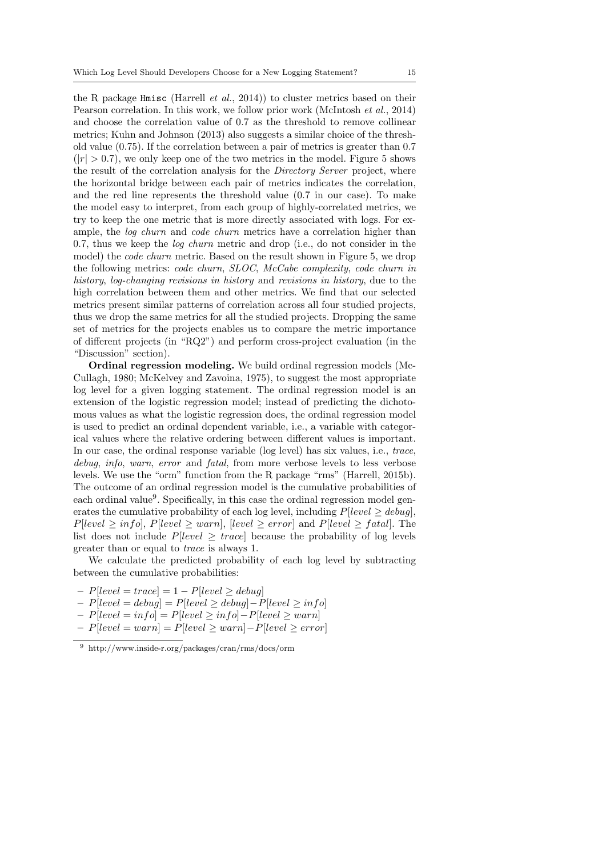the R package Hmisc (Harrell et al., 2014)) to cluster metrics based on their Pearson correlation. In this work, we follow prior work (McIntosh et al., 2014) and choose the correlation value of 0.7 as the threshold to remove collinear metrics; Kuhn and Johnson (2013) also suggests a similar choice of the threshold value (0.75). If the correlation between a pair of metrics is greater than 0.7  $(|r| > 0.7)$ , we only keep one of the two metrics in the model. Figure 5 shows the result of the correlation analysis for the *Directory Server* project, where the horizontal bridge between each pair of metrics indicates the correlation, and the red line represents the threshold value (0.7 in our case). To make the model easy to interpret, from each group of highly-correlated metrics, we try to keep the one metric that is more directly associated with logs. For example, the *log churn* and *code churn* metrics have a correlation higher than 0.7, thus we keep the *log churn* metric and drop (i.e., do not consider in the model) the *code churn* metric. Based on the result shown in Figure 5, we drop the following metrics: code churn, SLOC, McCabe complexity, code churn in history, log-changing revisions in history and revisions in history, due to the high correlation between them and other metrics. We find that our selected metrics present similar patterns of correlation across all four studied projects, thus we drop the same metrics for all the studied projects. Dropping the same set of metrics for the projects enables us to compare the metric importance of different projects (in "RQ2") and perform cross-project evaluation (in the "Discussion" section).

Ordinal regression modeling. We build ordinal regression models (Mc-Cullagh, 1980; McKelvey and Zavoina, 1975), to suggest the most appropriate log level for a given logging statement. The ordinal regression model is an extension of the logistic regression model; instead of predicting the dichotomous values as what the logistic regression does, the ordinal regression model is used to predict an ordinal dependent variable, i.e., a variable with categorical values where the relative ordering between different values is important. In our case, the ordinal response variable (log level) has six values, i.e., trace, debug, info, warn, error and fatal, from more verbose levels to less verbose levels. We use the "orm" function from the R package "rms" (Harrell, 2015b). The outcome of an ordinal regression model is the cumulative probabilities of each ordinal value<sup>9</sup>. Specifically, in this case the ordinal regression model generates the cumulative probability of each log level, including  $P[level \geq debug]$ ,  $P[level \geq info], P[level \geq warn], [level \geq error]$  and  $P[level \geq fatal].$  The list does not include  $P[level \geq trace]$  because the probability of log levels greater than or equal to trace is always 1.

We calculate the predicted probability of each log level by subtracting between the cumulative probabilities:

- $-P[level = trace] = 1 P[level \geq delay]$
- P[level = debug] = P[level ≥ debug]−P[level ≥ info]
- P[level = info] = P[level ≥ info]−P[level ≥ warn]
- P[level = warn] = P[level ≥ warn]−P[level ≥ error]

<sup>9</sup> http://www.inside-r.org/packages/cran/rms/docs/orm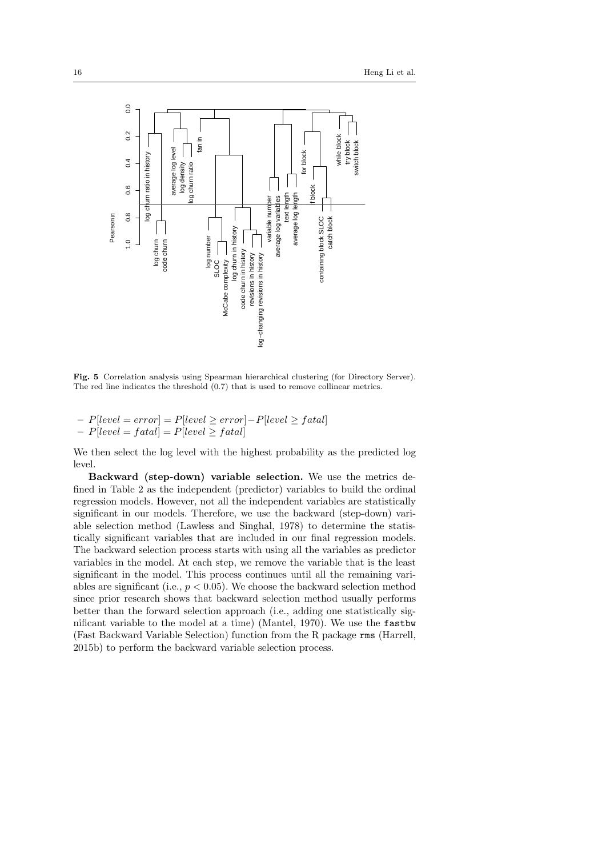

Fig. 5 Correlation analysis using Spearman hierarchical clustering (for Directory Server). The red line indicates the threshold (0.7) that is used to remove collinear metrics.

– P[level = error] = P[level ≥ error]−P[level ≥ f atal]  $-P[level = fatal] = P[level \geq fatal]$ 

We then select the log level with the highest probability as the predicted log level.

Backward (step-down) variable selection. We use the metrics defined in Table 2 as the independent (predictor) variables to build the ordinal regression models. However, not all the independent variables are statistically significant in our models. Therefore, we use the backward (step-down) variable selection method (Lawless and Singhal, 1978) to determine the statistically significant variables that are included in our final regression models. The backward selection process starts with using all the variables as predictor variables in the model. At each step, we remove the variable that is the least significant in the model. This process continues until all the remaining variables are significant (i.e.,  $p < 0.05$ ). We choose the backward selection method since prior research shows that backward selection method usually performs better than the forward selection approach (i.e., adding one statistically significant variable to the model at a time) (Mantel, 1970). We use the fastbw (Fast Backward Variable Selection) function from the R package rms (Harrell, 2015b) to perform the backward variable selection process.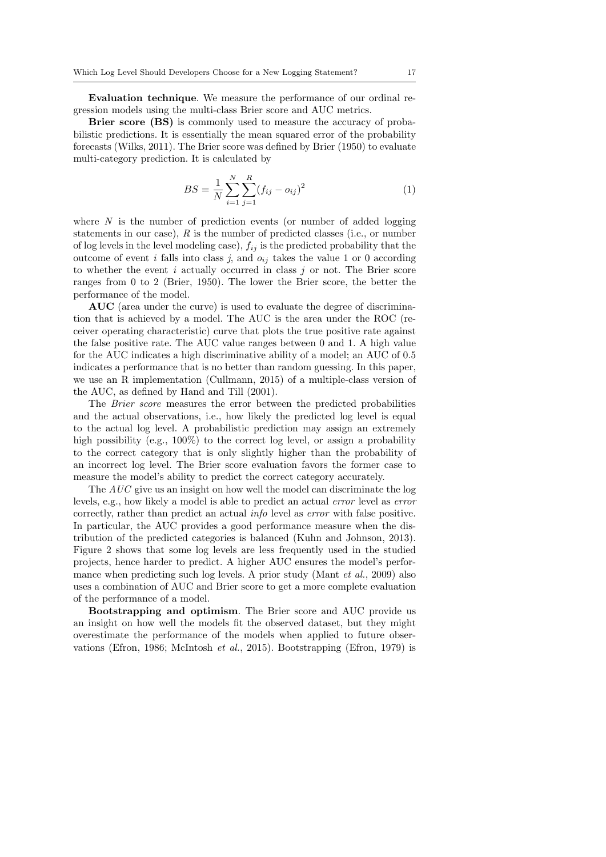Evaluation technique. We measure the performance of our ordinal regression models using the multi-class Brier score and AUC metrics.

Brier score (BS) is commonly used to measure the accuracy of probabilistic predictions. It is essentially the mean squared error of the probability forecasts (Wilks, 2011). The Brier score was defined by Brier (1950) to evaluate multi-category prediction. It is calculated by

$$
BS = \frac{1}{N} \sum_{i=1}^{N} \sum_{j=1}^{R} (f_{ij} - o_{ij})^2
$$
 (1)

where  $N$  is the number of prediction events (or number of added logging statements in our case),  $R$  is the number of predicted classes (i.e., or number of log levels in the level modeling case),  $f_{ij}$  is the predicted probability that the outcome of event i falls into class j, and  $o_{ij}$  takes the value 1 or 0 according to whether the event i actually occurred in class j or not. The Brier score ranges from 0 to 2 (Brier, 1950). The lower the Brier score, the better the performance of the model.

AUC (area under the curve) is used to evaluate the degree of discrimination that is achieved by a model. The AUC is the area under the ROC (receiver operating characteristic) curve that plots the true positive rate against the false positive rate. The AUC value ranges between 0 and 1. A high value for the AUC indicates a high discriminative ability of a model; an AUC of 0.5 indicates a performance that is no better than random guessing. In this paper, we use an R implementation (Cullmann, 2015) of a multiple-class version of the AUC, as defined by Hand and Till (2001).

The *Brier score* measures the error between the predicted probabilities and the actual observations, i.e., how likely the predicted log level is equal to the actual log level. A probabilistic prediction may assign an extremely high possibility (e.g., 100%) to the correct log level, or assign a probability to the correct category that is only slightly higher than the probability of an incorrect log level. The Brier score evaluation favors the former case to measure the model's ability to predict the correct category accurately.

The AUC give us an insight on how well the model can discriminate the log levels, e.g., how likely a model is able to predict an actual error level as error correctly, rather than predict an actual info level as error with false positive. In particular, the AUC provides a good performance measure when the distribution of the predicted categories is balanced (Kuhn and Johnson, 2013). Figure 2 shows that some log levels are less frequently used in the studied projects, hence harder to predict. A higher AUC ensures the model's performance when predicting such log levels. A prior study (Mant  $et al., 2009$ ) also uses a combination of AUC and Brier score to get a more complete evaluation of the performance of a model.

Bootstrapping and optimism. The Brier score and AUC provide us an insight on how well the models fit the observed dataset, but they might overestimate the performance of the models when applied to future observations (Efron, 1986; McIntosh et al., 2015). Bootstrapping (Efron, 1979) is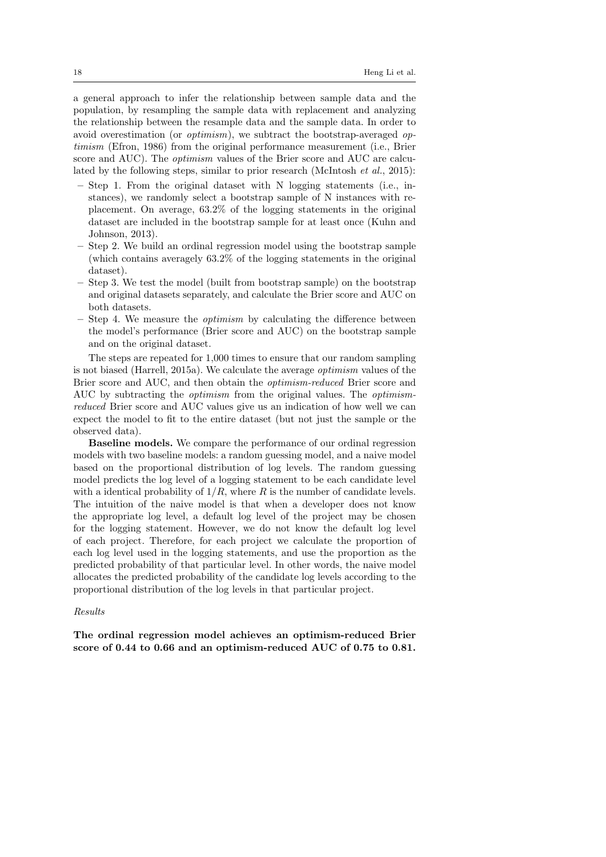a general approach to infer the relationship between sample data and the population, by resampling the sample data with replacement and analyzing the relationship between the resample data and the sample data. In order to avoid overestimation (or optimism), we subtract the bootstrap-averaged optimism (Efron, 1986) from the original performance measurement (i.e., Brier score and AUC). The optimism values of the Brier score and AUC are calculated by the following steps, similar to prior research (McIntosh *et al.*, 2015):

- $-$  Step 1. From the original dataset with N logging statements (i.e., instances), we randomly select a bootstrap sample of N instances with replacement. On average, 63.2% of the logging statements in the original dataset are included in the bootstrap sample for at least once (Kuhn and Johnson, 2013).
- Step 2. We build an ordinal regression model using the bootstrap sample (which contains averagely 63.2% of the logging statements in the original dataset).
- Step 3. We test the model (built from bootstrap sample) on the bootstrap and original datasets separately, and calculate the Brier score and AUC on both datasets.
- Step 4. We measure the optimism by calculating the difference between the model's performance (Brier score and AUC) on the bootstrap sample and on the original dataset.

The steps are repeated for 1,000 times to ensure that our random sampling is not biased (Harrell, 2015a). We calculate the average optimism values of the Brier score and AUC, and then obtain the optimism-reduced Brier score and AUC by subtracting the optimism from the original values. The optimismreduced Brier score and AUC values give us an indication of how well we can expect the model to fit to the entire dataset (but not just the sample or the observed data).

Baseline models. We compare the performance of our ordinal regression models with two baseline models: a random guessing model, and a naive model based on the proportional distribution of log levels. The random guessing model predicts the log level of a logging statement to be each candidate level with a identical probability of  $1/R$ , where R is the number of candidate levels. The intuition of the naive model is that when a developer does not know the appropriate log level, a default log level of the project may be chosen for the logging statement. However, we do not know the default log level of each project. Therefore, for each project we calculate the proportion of each log level used in the logging statements, and use the proportion as the predicted probability of that particular level. In other words, the naive model allocates the predicted probability of the candidate log levels according to the proportional distribution of the log levels in that particular project.

#### Results

The ordinal regression model achieves an optimism-reduced Brier score of 0.44 to 0.66 and an optimism-reduced AUC of 0.75 to 0.81.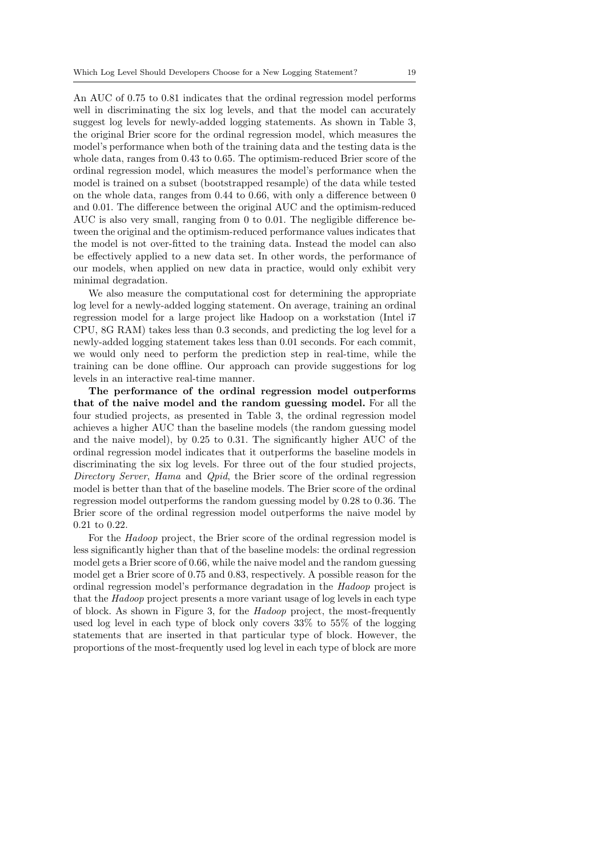An AUC of 0.75 to 0.81 indicates that the ordinal regression model performs well in discriminating the six log levels, and that the model can accurately suggest log levels for newly-added logging statements. As shown in Table 3, the original Brier score for the ordinal regression model, which measures the model's performance when both of the training data and the testing data is the whole data, ranges from 0.43 to 0.65. The optimism-reduced Brier score of the ordinal regression model, which measures the model's performance when the model is trained on a subset (bootstrapped resample) of the data while tested on the whole data, ranges from 0.44 to 0.66, with only a difference between 0 and 0.01. The difference between the original AUC and the optimism-reduced AUC is also very small, ranging from 0 to 0.01. The negligible difference between the original and the optimism-reduced performance values indicates that the model is not over-fitted to the training data. Instead the model can also be effectively applied to a new data set. In other words, the performance of our models, when applied on new data in practice, would only exhibit very minimal degradation.

We also measure the computational cost for determining the appropriate log level for a newly-added logging statement. On average, training an ordinal regression model for a large project like Hadoop on a workstation (Intel i7 CPU, 8G RAM) takes less than 0.3 seconds, and predicting the log level for a newly-added logging statement takes less than 0.01 seconds. For each commit, we would only need to perform the prediction step in real-time, while the training can be done offline. Our approach can provide suggestions for log levels in an interactive real-time manner.

The performance of the ordinal regression model outperforms that of the naive model and the random guessing model. For all the four studied projects, as presented in Table 3, the ordinal regression model achieves a higher AUC than the baseline models (the random guessing model and the naive model), by 0.25 to 0.31. The significantly higher AUC of the ordinal regression model indicates that it outperforms the baseline models in discriminating the six log levels. For three out of the four studied projects, Directory Server, Hama and *Qpid*, the Brier score of the ordinal regression model is better than that of the baseline models. The Brier score of the ordinal regression model outperforms the random guessing model by 0.28 to 0.36. The Brier score of the ordinal regression model outperforms the naive model by 0.21 to 0.22.

For the Hadoop project, the Brier score of the ordinal regression model is less significantly higher than that of the baseline models: the ordinal regression model gets a Brier score of 0.66, while the naive model and the random guessing model get a Brier score of 0.75 and 0.83, respectively. A possible reason for the ordinal regression model's performance degradation in the Hadoop project is that the Hadoop project presents a more variant usage of log levels in each type of block. As shown in Figure 3, for the Hadoop project, the most-frequently used log level in each type of block only covers 33% to 55% of the logging statements that are inserted in that particular type of block. However, the proportions of the most-frequently used log level in each type of block are more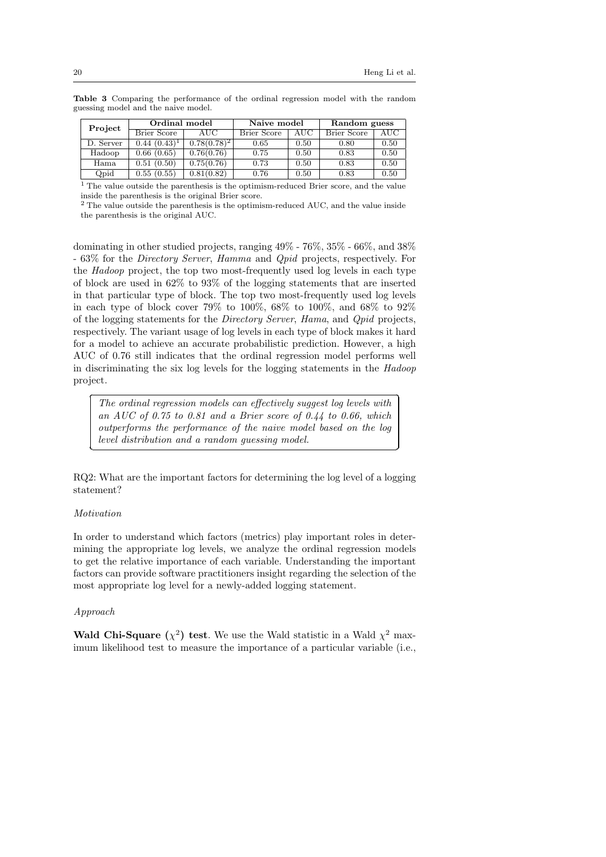$\mathbf{r}$ 

l.

| Project   | Ordinal model   |                | Naive model |      | Random guess       |           |  |
|-----------|-----------------|----------------|-------------|------|--------------------|-----------|--|
|           | Brier Score     | AUC.           | Brier Score | AUC  | <b>Brier Score</b> | $\rm AUC$ |  |
| D. Server | $0.44~(0.43)^1$ | $0.78(0.78)^2$ | 0.65        | 0.50 | 0.80               | 0.50      |  |
| Hadoop    | 0.66(0.65)      | 0.76(0.76)     | 0.75        | 0.50 | 0.83               | 0.50      |  |
| Hama      | 0.51(0.50)      | 0.75(0.76)     | 0.73        | 0.50 | 0.83               | 0.50      |  |
| Qpid      | 0.55(0.55)      | 0.81(0.82)     | 0.76        | 0.50 | 0.83               | 0.50      |  |

Table 3 Comparing the performance of the ordinal regression model with the random guessing model and the naive model.

<sup>1</sup> The value outside the parenthesis is the optimism-reduced Brier score, and the value inside the parenthesis is the original Brier score.

<sup>2</sup> The value outside the parenthesis is the optimism-reduced AUC, and the value inside the parenthesis is the original AUC.

dominating in other studied projects, ranging 49% - 76%, 35% - 66%, and 38% - 63% for the Directory Server, Hamma and Qpid projects, respectively. For the Hadoop project, the top two most-frequently used log levels in each type of block are used in 62% to 93% of the logging statements that are inserted in that particular type of block. The top two most-frequently used log levels in each type of block cover 79% to 100%, 68% to 100%, and 68% to 92% of the logging statements for the Directory Server, Hama, and Qpid projects, respectively. The variant usage of log levels in each type of block makes it hard for a model to achieve an accurate probabilistic prediction. However, a high AUC of 0.76 still indicates that the ordinal regression model performs well in discriminating the six log levels for the logging statements in the Hadoop project.

The ordinal regression models can effectively suggest log levels with an AUC of 0.75 to 0.81 and a Brier score of 0.44 to 0.66, which outperforms the performance of the naive model based on the log level distribution and a random guessing model.

RQ2: What are the important factors for determining the log level of a logging statement?

#### **Motivation**

✄

✂

In order to understand which factors (metrics) play important roles in determining the appropriate log levels, we analyze the ordinal regression models to get the relative importance of each variable. Understanding the important factors can provide software practitioners insight regarding the selection of the most appropriate log level for a newly-added logging statement.

#### Approach

Wald Chi-Square  $(\chi^2)$  test. We use the Wald statistic in a Wald  $\chi^2$  maximum likelihood test to measure the importance of a particular variable (i.e.,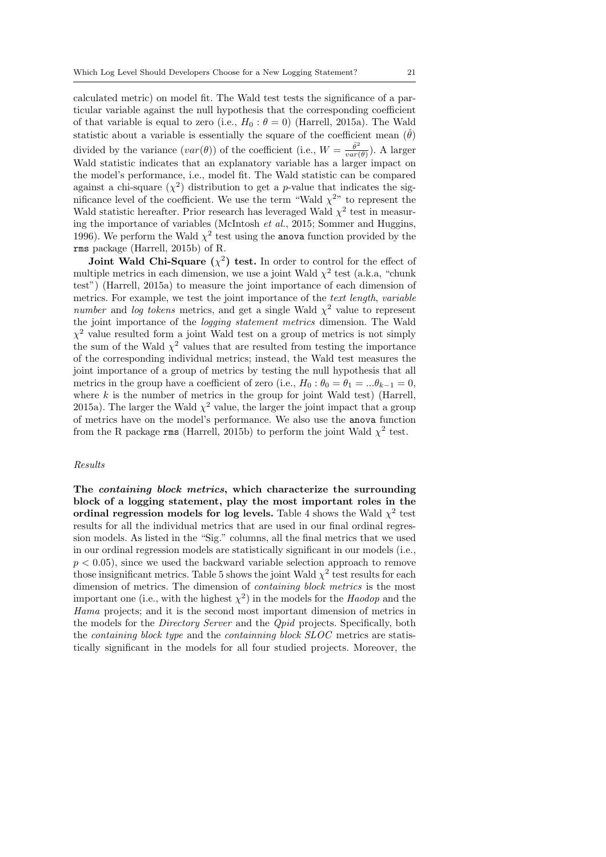calculated metric) on model fit. The Wald test tests the significance of a particular variable against the null hypothesis that the corresponding coefficient of that variable is equal to zero (i.e.,  $H_0$ :  $\theta = 0$ ) (Harrell, 2015a). The Wald statistic about a variable is essentially the square of the coefficient mean  $(\theta)$ divided by the variance  $(var(\theta))$  of the coefficient (i.e.,  $W = \frac{\hat{\theta}^2}{var(\theta)}$ ). A larger Wald statistic indicates that an explanatory variable has a larger impact on the model's performance, i.e., model fit. The Wald statistic can be compared against a chi-square  $(\chi^2)$  distribution to get a *p*-value that indicates the significance level of the coefficient. We use the term "Wald  $\chi^{2}$ " to represent the Wald statistic hereafter. Prior research has leveraged Wald  $\chi^2$  test in measuring the importance of variables (McIntosh et al., 2015; Sommer and Huggins, 1996). We perform the Wald  $\chi^2$  test using the anova function provided by the rms package (Harrell, 2015b) of R.

**Joint Wald Chi-Square**  $(\chi^2)$  test. In order to control for the effect of multiple metrics in each dimension, we use a joint Wald  $\chi^2$  test (a.k.a, "chunk test") (Harrell, 2015a) to measure the joint importance of each dimension of metrics. For example, we test the joint importance of the text length, variable number and log tokens metrics, and get a single Wald  $\chi^2$  value to represent the joint importance of the logging statement metrics dimension. The Wald  $\chi^2$  value resulted form a joint Wald test on a group of metrics is not simply the sum of the Wald  $\chi^2$  values that are resulted from testing the importance of the corresponding individual metrics; instead, the Wald test measures the joint importance of a group of metrics by testing the null hypothesis that all metrics in the group have a coefficient of zero (i.e.,  $H_0: \theta_0 = \theta_1 = ... \theta_{k-1} = 0$ , where  $k$  is the number of metrics in the group for joint Wald test) (Harrell, 2015a). The larger the Wald  $\chi^2$  value, the larger the joint impact that a group of metrics have on the model's performance. We also use the anova function from the R package rms (Harrell, 2015b) to perform the joint Wald  $\chi^2$  test.

### Results

The containing block metrics, which characterize the surrounding block of a logging statement, play the most important roles in the ordinal regression models for log levels. Table 4 shows the Wald  $\chi^2$  test results for all the individual metrics that are used in our final ordinal regression models. As listed in the "Sig." columns, all the final metrics that we used in our ordinal regression models are statistically significant in our models (i.e.,  $p < 0.05$ , since we used the backward variable selection approach to remove those insignificant metrics. Table 5 shows the joint Wald  $\chi^2$  test results for each dimension of metrics. The dimension of containing block metrics is the most important one (i.e., with the highest  $\chi^2$ ) in the models for the *Haodop* and the Hama projects; and it is the second most important dimension of metrics in the models for the Directory Server and the Qpid projects. Specifically, both the containing block type and the containning block SLOC metrics are statistically significant in the models for all four studied projects. Moreover, the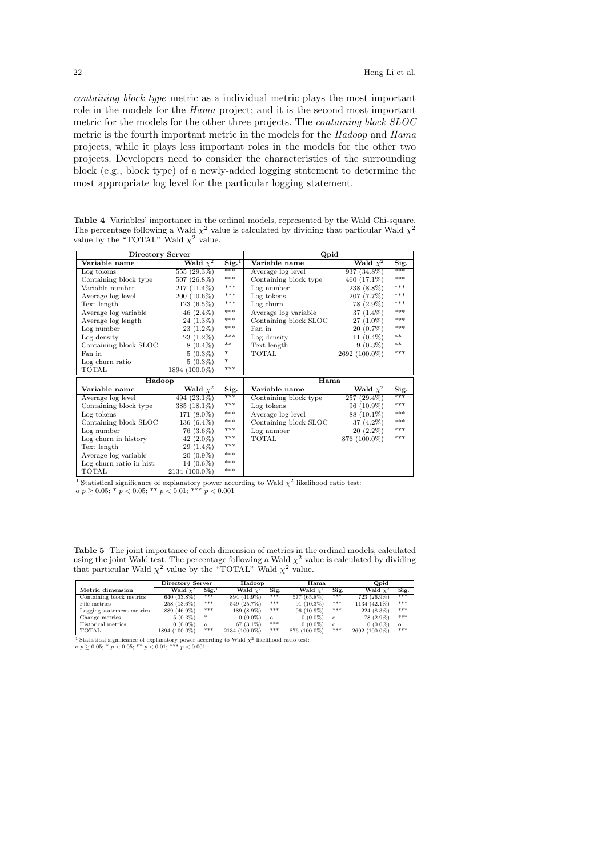containing block type metric as a individual metric plays the most important role in the models for the Hama project; and it is the second most important metric for the models for the other three projects. The *containing block SLOC* metric is the fourth important metric in the models for the Hadoop and Hama projects, while it plays less important roles in the models for the other two projects. Developers need to consider the characteristics of the surrounding block (e.g., block type) of a newly-added logging statement to determine the most appropriate log level for the particular logging statement.

Table 4 Variables' importance in the ordinal models, represented by the Wald Chi-square. The percentage following a Wald  $\chi^2$  value is calculated by dividing that particular Wald  $\chi^2$ value by the "TOTAL" Wald  $\chi^2$  value.

| <b>Directory Server</b>  |               | Qpid                         |                       |               |       |  |
|--------------------------|---------------|------------------------------|-----------------------|---------------|-------|--|
| Variable name            | Wald $\chi^2$ | $\overline{\textbf{Sig.}}^1$ | Variable name         | Wald $\chi^2$ | Sig.  |  |
| Log tokens               | 555 (29.3%)   | $***$                        | Average log level     | 937 (34.8%)   | $***$ |  |
| Containing block type    | 507 (26.8%)   | ***                          | Containing block type | 460 (17.1\%)  | ***   |  |
| Variable number          | $217(11.4\%)$ | ***                          | Log number            | 238 (8.8%)    | ***   |  |
| Average log level        | 200 (10.6%)   | ***                          | Log tokens            | 207 (7.7%)    | ***   |  |
| Text length              | 123 (6.5%)    | ***                          | Log churn             | $78(2.9\%)$   | $***$ |  |
| Average log variable     | 46 $(2.4\%)$  | ***                          | Average log variable  | $37(1.4\%)$   | ***   |  |
| Average log length       | $24(1.3\%)$   | ***                          | Containing block SLOC | $27(1.0\%)$   | ***   |  |
| Log number               | $23(1.2\%)$   | ***                          | Fan in                | $20(0.7\%)$   | $***$ |  |
| Log density              | $23(1.2\%)$   | $***$                        | Log density           | 11 $(0.4\%)$  | $**$  |  |
| Containing block SLOC    | $8(0.4\%)$    | $**$                         | Text length           | $9(0.3\%)$    | $**$  |  |
| Fan in                   | $5(0.3\%)$    | $*$                          | TOTAL                 | 2692 (100.0%) | ***   |  |
| Log churn ratio          | $5(0.3\%)$    | $\ast$                       |                       |               |       |  |
| <b>TOTAL</b>             | 1894 (100.0%) | ***                          |                       |               |       |  |
| Hadoop                   |               |                              | Hama                  |               |       |  |
| Variable name            | Wald $\chi^2$ | Sig.                         | Variable name         | Wald $\chi^2$ | Sig.  |  |
| Average log level        | 494 (23.1%)   | ***                          | Containing block type | 257 (29.4%)   | ***   |  |
| Containing block type    | 385 (18.1%)   | ***                          | Log tokens            | 96 (10.9%)    | $***$ |  |
| Log tokens               | 171 (8.0%)    | ***                          | Average log level     | 88 (10.1%)    | ***   |  |
| Containing block SLOC    | $136(6.4\%)$  | ***                          | Containing block SLOC | 37 (4.2%)     | $***$ |  |
| Log number               | 76 (3.6%)     | ***                          | Log number            | $20(2.2\%)$   | ***   |  |
| Log churn in history     | 42 $(2.0\%)$  | ***                          | <b>TOTAL</b>          | 876 (100.0%)  | ***   |  |
| Text length              | $29(1.4\%)$   | ***                          |                       |               |       |  |
| Average log variable     | $20(0.9\%)$   | ***                          |                       |               |       |  |
| Log churn ratio in hist. | 14 $(0.6\%)$  | ***                          |                       |               |       |  |
| TOTAL                    | 2134 (100.0%) | ***                          |                       |               |       |  |

<sup>1</sup> Statistical significance of explanatory power according to Wald  $\chi^2$  likelihood ratio test:

o  $p \ge 0.05$ ; \*  $p < 0.05$ ; \*\*  $p < 0.01$ ; \*\*\*  $p < 0.001$ 

Table 5 The joint importance of each dimension of metrics in the ordinal models, calculated using the joint Wald test. The percentage following a Wald  $\chi^2$  value is calculated by dividing that particular Wald  $\chi^2$  value by the "TOTAL" Wald  $\chi^2$  value.

|                           | Directory Server |                   | Hadoop        |          | Hama          |          | Opid            |          |
|---------------------------|------------------|-------------------|---------------|----------|---------------|----------|-----------------|----------|
| Metric dimension          | Wald $\sqrt{2}$  | $\text{Sig}^{-1}$ | Wald $\chi^2$ | Sig.     | Wald $\chi^2$ | Sig.     | Wald $\sqrt{2}$ | Sig.     |
| Containing block metrics  | 640 (33.8%)      | ***               | $894(41.9\%)$ | ***      | 577 (65.8%)   | ***      | 723 (26.9%)     | ***      |
| File metrics              | 258 (13.6%)      | ***               | 549 (25.7%)   | ***      | $91(10.3\%)$  | ***      | $1134(42.1\%)$  | ***      |
| Logging statement metrics | 889 (46.9%)      | ***               | 189 (8.9%)    | ***      | $96(10.9\%)$  | ***      | $224(8.3\%)$    | ***      |
| Change metrics            | $5(0.3\%)$       | *                 | $0(0.0\%)$    | $\Omega$ | $0(0.0\%)$    | $\Omega$ | 78 (2.9%)       | ***      |
| Historical metrics        | $0(0.0\%)$       | $\Omega$          | 67 $(3.1\%)$  | ***      | $0(0.0\%)$    | $\Omega$ | $0(0.0\%)$      | $\Omega$ |
| TOTAL                     | 1894 (100.0%)    | ***               | 2134 (100.0%) | ***      | 876 (100.0%)  | ***      | 2692 (100.0%)   | ***      |

<sup>1</sup> Statistical significance of explanatory power according to Wald  $\chi^2$  likelihood ratio test: o  $p \ge 0.05$ ; \*  $p < 0.05$ ; \*\*  $p < 0.01$ ; \*\*\*  $p < 0.001$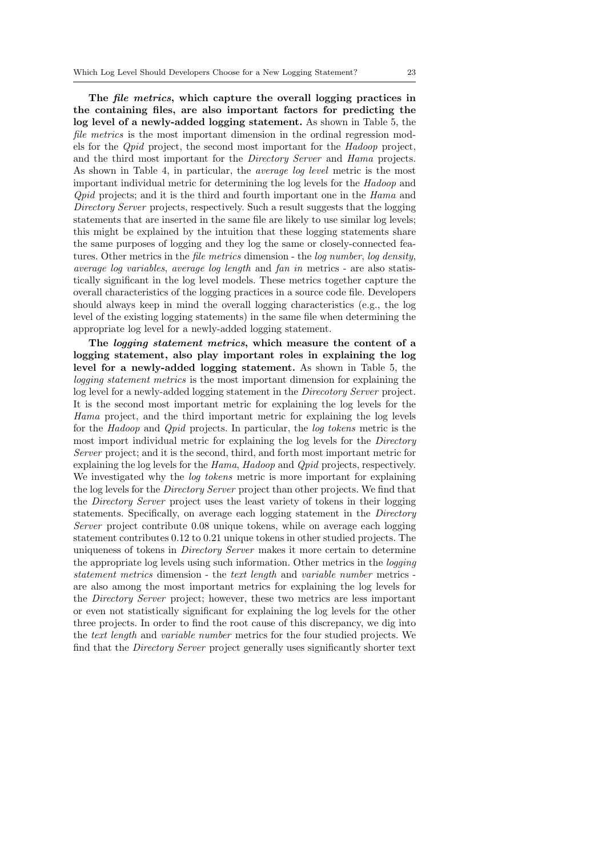The file metrics, which capture the overall logging practices in the containing files, are also important factors for predicting the log level of a newly-added logging statement. As shown in Table 5, the file metrics is the most important dimension in the ordinal regression models for the Qpid project, the second most important for the Hadoop project, and the third most important for the Directory Server and Hama projects. As shown in Table 4, in particular, the average log level metric is the most important individual metric for determining the log levels for the Hadoop and Qpid projects; and it is the third and fourth important one in the Hama and Directory Server projects, respectively. Such a result suggests that the logging statements that are inserted in the same file are likely to use similar log levels; this might be explained by the intuition that these logging statements share the same purposes of logging and they log the same or closely-connected features. Other metrics in the file metrics dimension - the log number, log density, average log variables, average log length and fan in metrics - are also statistically significant in the log level models. These metrics together capture the overall characteristics of the logging practices in a source code file. Developers should always keep in mind the overall logging characteristics (e.g., the log level of the existing logging statements) in the same file when determining the appropriate log level for a newly-added logging statement.

The logging statement metrics, which measure the content of a logging statement, also play important roles in explaining the log level for a newly-added logging statement. As shown in Table 5, the logging statement metrics is the most important dimension for explaining the log level for a newly-added logging statement in the Direcotory Server project. It is the second most important metric for explaining the log levels for the Hama project, and the third important metric for explaining the log levels for the Hadoop and Qpid projects. In particular, the log tokens metric is the most import individual metric for explaining the log levels for the *Directory* Server project; and it is the second, third, and forth most important metric for explaining the log levels for the Hama, Hadoop and Qpid projects, respectively. We investigated why the *log tokens* metric is more important for explaining the log levels for the Directory Server project than other projects. We find that the Directory Server project uses the least variety of tokens in their logging statements. Specifically, on average each logging statement in the Directory Server project contribute 0.08 unique tokens, while on average each logging statement contributes 0.12 to 0.21 unique tokens in other studied projects. The uniqueness of tokens in Directory Server makes it more certain to determine the appropriate log levels using such information. Other metrics in the logging statement metrics dimension - the text length and variable number metrics are also among the most important metrics for explaining the log levels for the Directory Server project; however, these two metrics are less important or even not statistically significant for explaining the log levels for the other three projects. In order to find the root cause of this discrepancy, we dig into the text length and variable number metrics for the four studied projects. We find that the Directory Server project generally uses significantly shorter text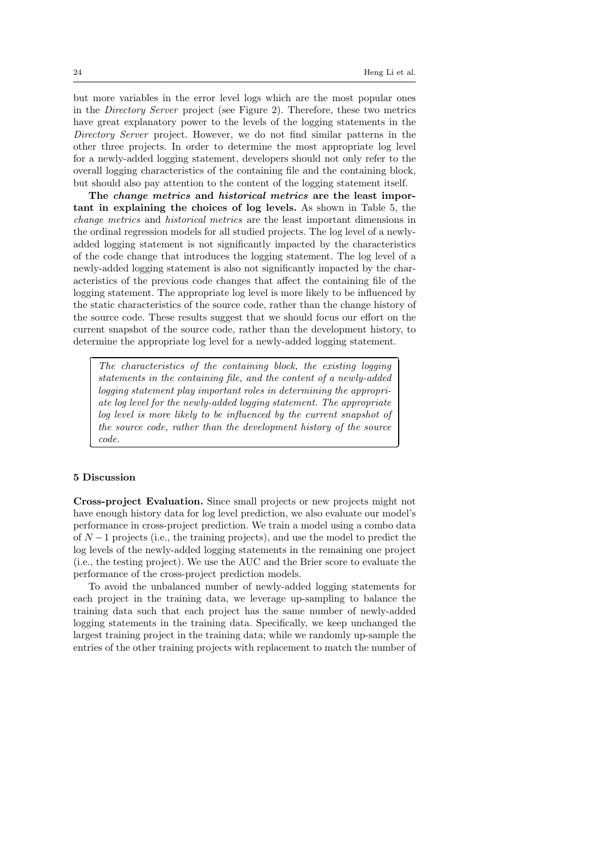Ĭ.

l.

but more variables in the error level logs which are the most popular ones in the Directory Server project (see Figure 2). Therefore, these two metrics have great explanatory power to the levels of the logging statements in the Directory Server project. However, we do not find similar patterns in the other three projects. In order to determine the most appropriate log level for a newly-added logging statement, developers should not only refer to the overall logging characteristics of the containing file and the containing block, but should also pay attention to the content of the logging statement itself.

The change metrics and historical metrics are the least important in explaining the choices of log levels. As shown in Table 5, the change metrics and historical metrics are the least important dimensions in the ordinal regression models for all studied projects. The log level of a newlyadded logging statement is not significantly impacted by the characteristics of the code change that introduces the logging statement. The log level of a newly-added logging statement is also not significantly impacted by the characteristics of the previous code changes that affect the containing file of the logging statement. The appropriate log level is more likely to be influenced by the static characteristics of the source code, rather than the change history of the source code. These results suggest that we should focus our effort on the current snapshot of the source code, rather than the development history, to determine the appropriate log level for a newly-added logging statement.

The characteristics of the containing block, the existing logging statements in the containing file, and the content of a newly-added logging statement play important roles in determining the appropriate log level for the newly-added logging statement. The appropriate log level is more likely to be influenced by the current snapshot of the source code, rather than the development history of the source code.

#### 5 Discussion

✄

✂

Cross-project Evaluation. Since small projects or new projects might not have enough history data for log level prediction, we also evaluate our model's performance in cross-project prediction. We train a model using a combo data of N −1 projects (i.e., the training projects), and use the model to predict the log levels of the newly-added logging statements in the remaining one project (i.e., the testing project). We use the AUC and the Brier score to evaluate the performance of the cross-project prediction models.

To avoid the unbalanced number of newly-added logging statements for each project in the training data, we leverage up-sampling to balance the training data such that each project has the same number of newly-added logging statements in the training data. Specifically, we keep unchanged the largest training project in the training data; while we randomly up-sample the entries of the other training projects with replacement to match the number of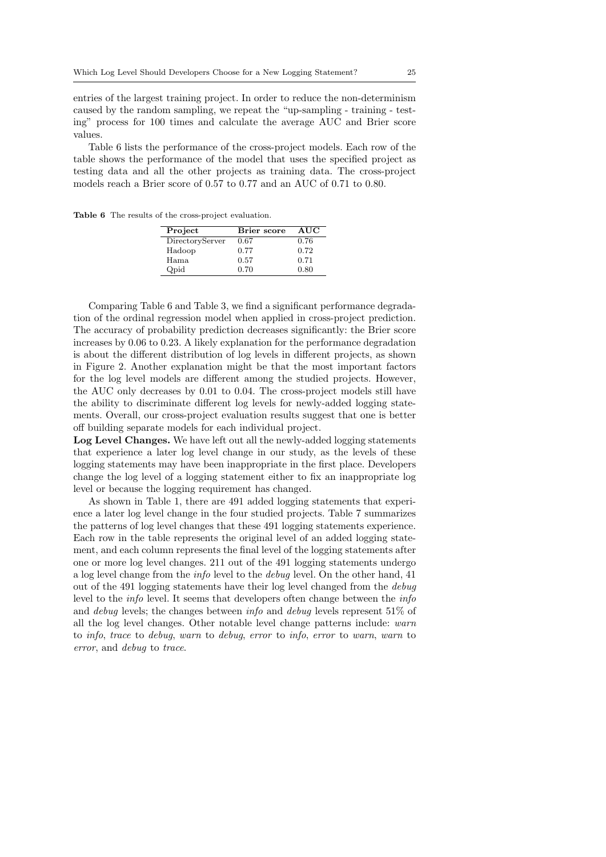entries of the largest training project. In order to reduce the non-determinism caused by the random sampling, we repeat the "up-sampling - training - testing" process for 100 times and calculate the average AUC and Brier score values.

Table 6 lists the performance of the cross-project models. Each row of the table shows the performance of the model that uses the specified project as testing data and all the other projects as training data. The cross-project models reach a Brier score of 0.57 to 0.77 and an AUC of 0.71 to 0.80.

Table 6 The results of the cross-project evaluation.

| Project         | <b>Brier</b> score | <b>AUC</b> |
|-----------------|--------------------|------------|
| DirectoryServer | 0.67               | 0.76       |
| Hadoop          | 0.77               | 0.72       |
| Hama.           | 0.57               | 0.71       |
| Qpid            | 0.70               | 0.80       |

Comparing Table 6 and Table 3, we find a significant performance degradation of the ordinal regression model when applied in cross-project prediction. The accuracy of probability prediction decreases significantly: the Brier score increases by 0.06 to 0.23. A likely explanation for the performance degradation is about the different distribution of log levels in different projects, as shown in Figure 2. Another explanation might be that the most important factors for the log level models are different among the studied projects. However, the AUC only decreases by 0.01 to 0.04. The cross-project models still have the ability to discriminate different log levels for newly-added logging statements. Overall, our cross-project evaluation results suggest that one is better off building separate models for each individual project.

Log Level Changes. We have left out all the newly-added logging statements that experience a later log level change in our study, as the levels of these logging statements may have been inappropriate in the first place. Developers change the log level of a logging statement either to fix an inappropriate log level or because the logging requirement has changed.

As shown in Table 1, there are 491 added logging statements that experience a later log level change in the four studied projects. Table 7 summarizes the patterns of log level changes that these 491 logging statements experience. Each row in the table represents the original level of an added logging statement, and each column represents the final level of the logging statements after one or more log level changes. 211 out of the 491 logging statements undergo a log level change from the info level to the debug level. On the other hand, 41 out of the 491 logging statements have their log level changed from the debug level to the info level. It seems that developers often change between the info and debug levels; the changes between info and debug levels represent 51% of all the log level changes. Other notable level change patterns include: warn to info, trace to debug, warn to debug, error to info, error to warn, warn to error, and debug to trace.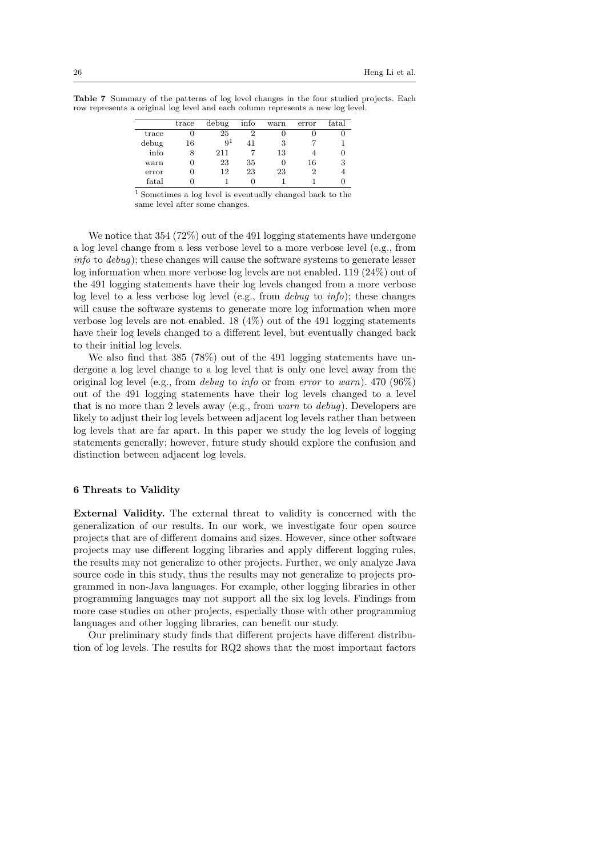|       | trace | debug          | info | warn | error | fatal |
|-------|-------|----------------|------|------|-------|-------|
| trace |       | 25             | 2    | 0    |       | 0     |
| debug | 16    | 9 <sup>1</sup> | 41   | 3    |       |       |
| info  | 8     | 211            |      | 13   |       | 0     |
| warn  |       | 23             | 35   | 0    | 16    | 3     |
| error |       | 12             | 23   | 23   | 2     | 4     |
| fatal |       |                |      |      |       |       |
|       |       |                |      |      |       |       |

Table 7 Summary of the patterns of log level changes in the four studied projects. Each row represents a original log level and each column represents a new log level.

<sup>1</sup> Sometimes a log level is eventually changed back to the same level after some changes.

We notice that 354 (72%) out of the 491 logging statements have undergone a log level change from a less verbose level to a more verbose level (e.g., from info to debug); these changes will cause the software systems to generate lesser log information when more verbose log levels are not enabled. 119 (24%) out of the 491 logging statements have their log levels changed from a more verbose log level to a less verbose log level (e.g., from  $debug$  to  $info$ ); these changes will cause the software systems to generate more log information when more verbose log levels are not enabled. 18 (4%) out of the 491 logging statements have their log levels changed to a different level, but eventually changed back to their initial log levels.

We also find that 385 (78%) out of the 491 logging statements have undergone a log level change to a log level that is only one level away from the original log level (e.g., from debug to info or from error to warn). 470 (96%) out of the 491 logging statements have their log levels changed to a level that is no more than 2 levels away (e.g., from warn to debug). Developers are likely to adjust their log levels between adjacent log levels rather than between log levels that are far apart. In this paper we study the log levels of logging statements generally; however, future study should explore the confusion and distinction between adjacent log levels.

#### 6 Threats to Validity

External Validity. The external threat to validity is concerned with the generalization of our results. In our work, we investigate four open source projects that are of different domains and sizes. However, since other software projects may use different logging libraries and apply different logging rules, the results may not generalize to other projects. Further, we only analyze Java source code in this study, thus the results may not generalize to projects programmed in non-Java languages. For example, other logging libraries in other programming languages may not support all the six log levels. Findings from more case studies on other projects, especially those with other programming languages and other logging libraries, can benefit our study.

Our preliminary study finds that different projects have different distribution of log levels. The results for RQ2 shows that the most important factors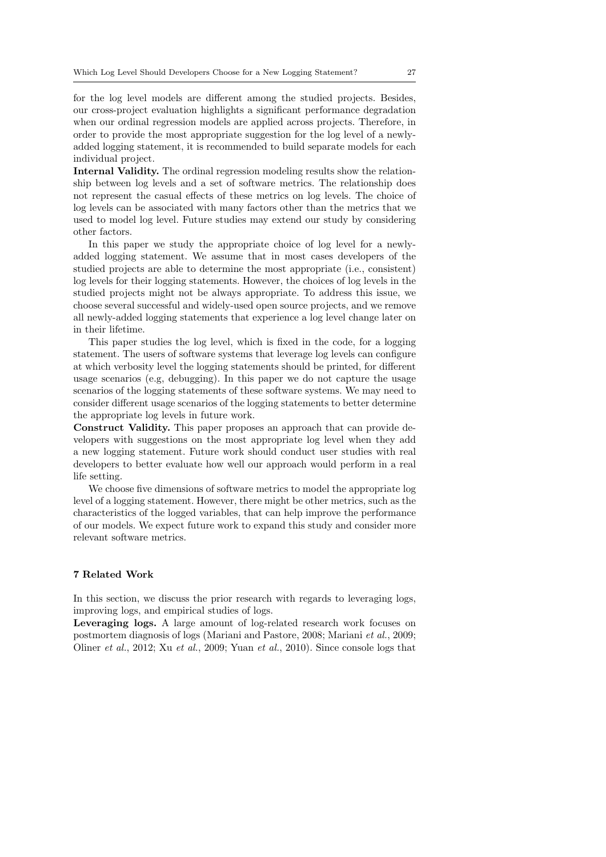for the log level models are different among the studied projects. Besides, our cross-project evaluation highlights a significant performance degradation when our ordinal regression models are applied across projects. Therefore, in order to provide the most appropriate suggestion for the log level of a newlyadded logging statement, it is recommended to build separate models for each individual project.

Internal Validity. The ordinal regression modeling results show the relationship between log levels and a set of software metrics. The relationship does not represent the casual effects of these metrics on log levels. The choice of log levels can be associated with many factors other than the metrics that we used to model log level. Future studies may extend our study by considering other factors.

In this paper we study the appropriate choice of log level for a newlyadded logging statement. We assume that in most cases developers of the studied projects are able to determine the most appropriate (i.e., consistent) log levels for their logging statements. However, the choices of log levels in the studied projects might not be always appropriate. To address this issue, we choose several successful and widely-used open source projects, and we remove all newly-added logging statements that experience a log level change later on in their lifetime.

This paper studies the log level, which is fixed in the code, for a logging statement. The users of software systems that leverage log levels can configure at which verbosity level the logging statements should be printed, for different usage scenarios (e.g, debugging). In this paper we do not capture the usage scenarios of the logging statements of these software systems. We may need to consider different usage scenarios of the logging statements to better determine the appropriate log levels in future work.

Construct Validity. This paper proposes an approach that can provide developers with suggestions on the most appropriate log level when they add a new logging statement. Future work should conduct user studies with real developers to better evaluate how well our approach would perform in a real life setting.

We choose five dimensions of software metrics to model the appropriate log level of a logging statement. However, there might be other metrics, such as the characteristics of the logged variables, that can help improve the performance of our models. We expect future work to expand this study and consider more relevant software metrics.

## 7 Related Work

In this section, we discuss the prior research with regards to leveraging logs, improving logs, and empirical studies of logs.

Leveraging logs. A large amount of log-related research work focuses on postmortem diagnosis of logs (Mariani and Pastore, 2008; Mariani et al., 2009; Oliner et al., 2012; Xu et al., 2009; Yuan et al., 2010). Since console logs that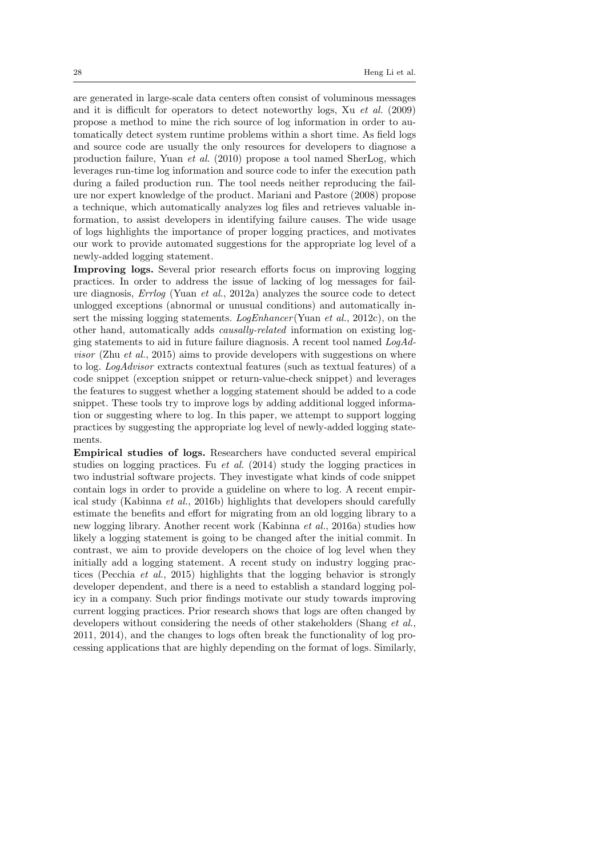are generated in large-scale data centers often consist of voluminous messages and it is difficult for operators to detect noteworthy logs,  $Xu$  *et al.* (2009) propose a method to mine the rich source of log information in order to automatically detect system runtime problems within a short time. As field logs and source code are usually the only resources for developers to diagnose a production failure, Yuan et al. (2010) propose a tool named SherLog, which leverages run-time log information and source code to infer the execution path during a failed production run. The tool needs neither reproducing the failure nor expert knowledge of the product. Mariani and Pastore (2008) propose a technique, which automatically analyzes log files and retrieves valuable information, to assist developers in identifying failure causes. The wide usage of logs highlights the importance of proper logging practices, and motivates our work to provide automated suggestions for the appropriate log level of a newly-added logging statement.

Improving logs. Several prior research efforts focus on improving logging practices. In order to address the issue of lacking of log messages for failure diagnosis, Errlog (Yuan et al., 2012a) analyzes the source code to detect unlogged exceptions (abnormal or unusual conditions) and automatically insert the missing logging statements.  $LogEnhancer$  (Yuan et al., 2012c), on the other hand, automatically adds causally-related information on existing logging statements to aid in future failure diagnosis. A recent tool named  $LogAd$ *visor* (Zhu *et al.*, 2015) aims to provide developers with suggestions on where to log. LogAdvisor extracts contextual features (such as textual features) of a code snippet (exception snippet or return-value-check snippet) and leverages the features to suggest whether a logging statement should be added to a code snippet. These tools try to improve logs by adding additional logged information or suggesting where to log. In this paper, we attempt to support logging practices by suggesting the appropriate log level of newly-added logging statements.

Empirical studies of logs. Researchers have conducted several empirical studies on logging practices. Fu *et al.* (2014) study the logging practices in two industrial software projects. They investigate what kinds of code snippet contain logs in order to provide a guideline on where to log. A recent empirical study (Kabinna et al., 2016b) highlights that developers should carefully estimate the benefits and effort for migrating from an old logging library to a new logging library. Another recent work (Kabinna et al., 2016a) studies how likely a logging statement is going to be changed after the initial commit. In contrast, we aim to provide developers on the choice of log level when they initially add a logging statement. A recent study on industry logging practices (Pecchia et al., 2015) highlights that the logging behavior is strongly developer dependent, and there is a need to establish a standard logging policy in a company. Such prior findings motivate our study towards improving current logging practices. Prior research shows that logs are often changed by developers without considering the needs of other stakeholders (Shang et al., 2011, 2014), and the changes to logs often break the functionality of log processing applications that are highly depending on the format of logs. Similarly,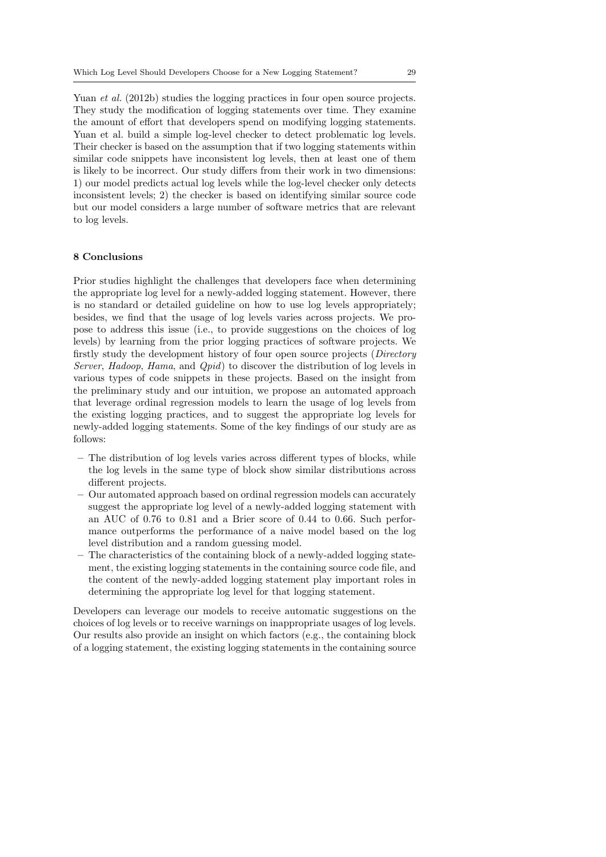Yuan *et al.* (2012b) studies the logging practices in four open source projects. They study the modification of logging statements over time. They examine the amount of effort that developers spend on modifying logging statements. Yuan et al. build a simple log-level checker to detect problematic log levels. Their checker is based on the assumption that if two logging statements within similar code snippets have inconsistent log levels, then at least one of them is likely to be incorrect. Our study differs from their work in two dimensions: 1) our model predicts actual log levels while the log-level checker only detects inconsistent levels; 2) the checker is based on identifying similar source code but our model considers a large number of software metrics that are relevant to log levels.

#### 8 Conclusions

Prior studies highlight the challenges that developers face when determining the appropriate log level for a newly-added logging statement. However, there is no standard or detailed guideline on how to use log levels appropriately; besides, we find that the usage of log levels varies across projects. We propose to address this issue (i.e., to provide suggestions on the choices of log levels) by learning from the prior logging practices of software projects. We firstly study the development history of four open source projects (Directory Server, Hadoop, Hama, and Qpid) to discover the distribution of log levels in various types of code snippets in these projects. Based on the insight from the preliminary study and our intuition, we propose an automated approach that leverage ordinal regression models to learn the usage of log levels from the existing logging practices, and to suggest the appropriate log levels for newly-added logging statements. Some of the key findings of our study are as follows:

- The distribution of log levels varies across different types of blocks, while the log levels in the same type of block show similar distributions across different projects.
- Our automated approach based on ordinal regression models can accurately suggest the appropriate log level of a newly-added logging statement with an AUC of 0.76 to 0.81 and a Brier score of 0.44 to 0.66. Such performance outperforms the performance of a naive model based on the log level distribution and a random guessing model.
- The characteristics of the containing block of a newly-added logging statement, the existing logging statements in the containing source code file, and the content of the newly-added logging statement play important roles in determining the appropriate log level for that logging statement.

Developers can leverage our models to receive automatic suggestions on the choices of log levels or to receive warnings on inappropriate usages of log levels. Our results also provide an insight on which factors (e.g., the containing block of a logging statement, the existing logging statements in the containing source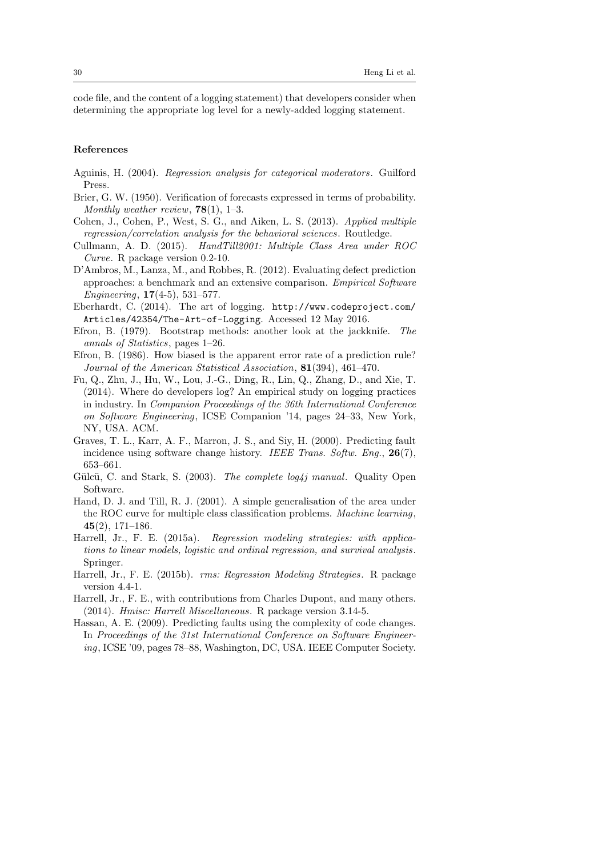code file, and the content of a logging statement) that developers consider when determining the appropriate log level for a newly-added logging statement.

# References

- Aguinis, H. (2004). Regression analysis for categorical moderators. Guilford Press.
- Brier, G. W. (1950). Verification of forecasts expressed in terms of probability. Monthly weather review,  $78(1)$ , 1–3.
- Cohen, J., Cohen, P., West, S. G., and Aiken, L. S. (2013). Applied multiple regression/correlation analysis for the behavioral sciences. Routledge.
- Cullmann, A. D. (2015). HandTill2001: Multiple Class Area under ROC Curve. R package version 0.2-10.
- D'Ambros, M., Lanza, M., and Robbes, R. (2012). Evaluating defect prediction approaches: a benchmark and an extensive comparison. Empirical Software Engineering, 17(4-5), 531–577.
- Eberhardt, C. (2014). The art of logging. http://www.codeproject.com/ Articles/42354/The-Art-of-Logging. Accessed 12 May 2016.
- Efron, B. (1979). Bootstrap methods: another look at the jackknife. The annals of Statistics, pages 1–26.
- Efron, B. (1986). How biased is the apparent error rate of a prediction rule? Journal of the American Statistical Association, 81(394), 461–470.
- Fu, Q., Zhu, J., Hu, W., Lou, J.-G., Ding, R., Lin, Q., Zhang, D., and Xie, T. (2014). Where do developers log? An empirical study on logging practices in industry. In Companion Proceedings of the 36th International Conference on Software Engineering, ICSE Companion '14, pages 24–33, New York, NY, USA. ACM.
- Graves, T. L., Karr, A. F., Marron, J. S., and Siy, H. (2000). Predicting fault incidence using software change history. IEEE Trans. Softw. Eng.,  $26(7)$ , 653–661.
- Gülcü, C. and Stark, S. (2003). The complete log4j manual. Quality Open Software.
- Hand, D. J. and Till, R. J. (2001). A simple generalisation of the area under the ROC curve for multiple class classification problems. Machine learning, 45(2), 171–186.
- Harrell, Jr., F. E. (2015a). Regression modeling strategies: with applications to linear models, logistic and ordinal regression, and survival analysis . Springer.
- Harrell, Jr., F. E. (2015b). rms: Regression Modeling Strategies. R package version 4.4-1.
- Harrell, Jr., F. E., with contributions from Charles Dupont, and many others. (2014). Hmisc: Harrell Miscellaneous. R package version 3.14-5.
- Hassan, A. E. (2009). Predicting faults using the complexity of code changes. In Proceedings of the 31st International Conference on Software Engineering, ICSE '09, pages 78–88, Washington, DC, USA. IEEE Computer Society.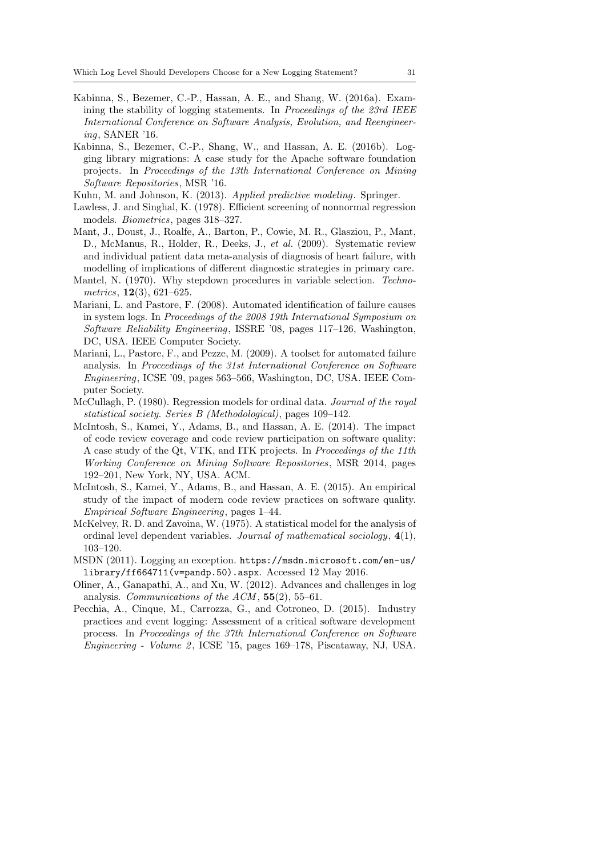- Kabinna, S., Bezemer, C.-P., Hassan, A. E., and Shang, W. (2016a). Examining the stability of logging statements. In *Proceedings of the 23rd IEEE* International Conference on Software Analysis, Evolution, and Reengineering, SANER '16.
- Kabinna, S., Bezemer, C.-P., Shang, W., and Hassan, A. E. (2016b). Logging library migrations: A case study for the Apache software foundation projects. In Proceedings of the 13th International Conference on Mining Software Repositories, MSR '16.
- Kuhn, M. and Johnson, K. (2013). Applied predictive modeling. Springer.
- Lawless, J. and Singhal, K. (1978). Efficient screening of nonnormal regression models. Biometrics, pages 318–327.
- Mant, J., Doust, J., Roalfe, A., Barton, P., Cowie, M. R., Glasziou, P., Mant, D., McManus, R., Holder, R., Deeks, J., et al. (2009). Systematic review and individual patient data meta-analysis of diagnosis of heart failure, with modelling of implications of different diagnostic strategies in primary care.
- Mantel, N. (1970). Why stepdown procedures in variable selection. Technometrics,  $12(3)$ , 621–625.
- Mariani, L. and Pastore, F. (2008). Automated identification of failure causes in system logs. In Proceedings of the 2008 19th International Symposium on Software Reliability Engineering, ISSRE '08, pages 117–126, Washington, DC, USA. IEEE Computer Society.
- Mariani, L., Pastore, F., and Pezze, M. (2009). A toolset for automated failure analysis. In Proceedings of the 31st International Conference on Software Engineering, ICSE '09, pages 563–566, Washington, DC, USA. IEEE Computer Society.
- McCullagh, P. (1980). Regression models for ordinal data. Journal of the royal statistical society. Series B (Methodological), pages 109–142.
- McIntosh, S., Kamei, Y., Adams, B., and Hassan, A. E. (2014). The impact of code review coverage and code review participation on software quality: A case study of the Qt, VTK, and ITK projects. In Proceedings of the 11th Working Conference on Mining Software Repositories, MSR 2014, pages 192–201, New York, NY, USA. ACM.
- McIntosh, S., Kamei, Y., Adams, B., and Hassan, A. E. (2015). An empirical study of the impact of modern code review practices on software quality. Empirical Software Engineering, pages 1–44.
- McKelvey, R. D. and Zavoina, W. (1975). A statistical model for the analysis of ordinal level dependent variables. Journal of mathematical sociology,  $4(1)$ , 103–120.
- MSDN (2011). Logging an exception. https://msdn.microsoft.com/en-us/ library/ff664711(v=pandp.50).aspx. Accessed 12 May 2016.
- Oliner, A., Ganapathi, A., and Xu, W. (2012). Advances and challenges in log analysis. Communications of the ACM , 55(2), 55–61.
- Pecchia, A., Cinque, M., Carrozza, G., and Cotroneo, D. (2015). Industry practices and event logging: Assessment of a critical software development process. In Proceedings of the 37th International Conference on Software Engineering - Volume 2, ICSE '15, pages 169–178, Piscataway, NJ, USA.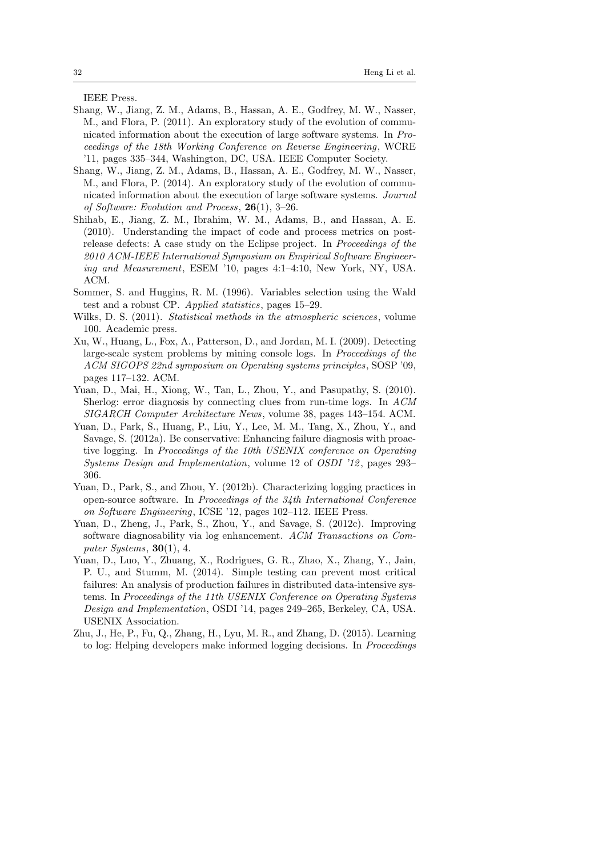IEEE Press.

- Shang, W., Jiang, Z. M., Adams, B., Hassan, A. E., Godfrey, M. W., Nasser, M., and Flora, P. (2011). An exploratory study of the evolution of communicated information about the execution of large software systems. In Proceedings of the 18th Working Conference on Reverse Engineering, WCRE '11, pages 335–344, Washington, DC, USA. IEEE Computer Society.
- Shang, W., Jiang, Z. M., Adams, B., Hassan, A. E., Godfrey, M. W., Nasser, M., and Flora, P. (2014). An exploratory study of the evolution of communicated information about the execution of large software systems. Journal of Software: Evolution and Process, 26(1), 3–26.
- Shihab, E., Jiang, Z. M., Ibrahim, W. M., Adams, B., and Hassan, A. E. (2010). Understanding the impact of code and process metrics on postrelease defects: A case study on the Eclipse project. In Proceedings of the 2010 ACM-IEEE International Symposium on Empirical Software Engineering and Measurement, ESEM '10, pages 4:1–4:10, New York, NY, USA. ACM.
- Sommer, S. and Huggins, R. M. (1996). Variables selection using the Wald test and a robust CP. Applied statistics, pages 15–29.
- Wilks, D. S. (2011). *Statistical methods in the atmospheric sciences*, volume 100. Academic press.
- Xu, W., Huang, L., Fox, A., Patterson, D., and Jordan, M. I. (2009). Detecting large-scale system problems by mining console logs. In Proceedings of the ACM SIGOPS 22nd symposium on Operating systems principles , SOSP '09, pages 117–132. ACM.
- Yuan, D., Mai, H., Xiong, W., Tan, L., Zhou, Y., and Pasupathy, S. (2010). Sherlog: error diagnosis by connecting clues from run-time logs. In ACM SIGARCH Computer Architecture News, volume 38, pages 143–154. ACM.
- Yuan, D., Park, S., Huang, P., Liu, Y., Lee, M. M., Tang, X., Zhou, Y., and Savage, S. (2012a). Be conservative: Enhancing failure diagnosis with proactive logging. In Proceedings of the 10th USENIX conference on Operating Systems Design and Implementation, volume 12 of OSDI '12 , pages 293– 306.
- Yuan, D., Park, S., and Zhou, Y. (2012b). Characterizing logging practices in open-source software. In Proceedings of the 34th International Conference on Software Engineering, ICSE '12, pages 102–112. IEEE Press.
- Yuan, D., Zheng, J., Park, S., Zhou, Y., and Savage, S. (2012c). Improving software diagnosability via log enhancement. ACM Transactions on Computer Systems,  $30(1)$ , 4.
- Yuan, D., Luo, Y., Zhuang, X., Rodrigues, G. R., Zhao, X., Zhang, Y., Jain, P. U., and Stumm, M. (2014). Simple testing can prevent most critical failures: An analysis of production failures in distributed data-intensive systems. In Proceedings of the 11th USENIX Conference on Operating Systems Design and Implementation, OSDI '14, pages 249–265, Berkeley, CA, USA. USENIX Association.
- Zhu, J., He, P., Fu, Q., Zhang, H., Lyu, M. R., and Zhang, D. (2015). Learning to log: Helping developers make informed logging decisions. In Proceedings